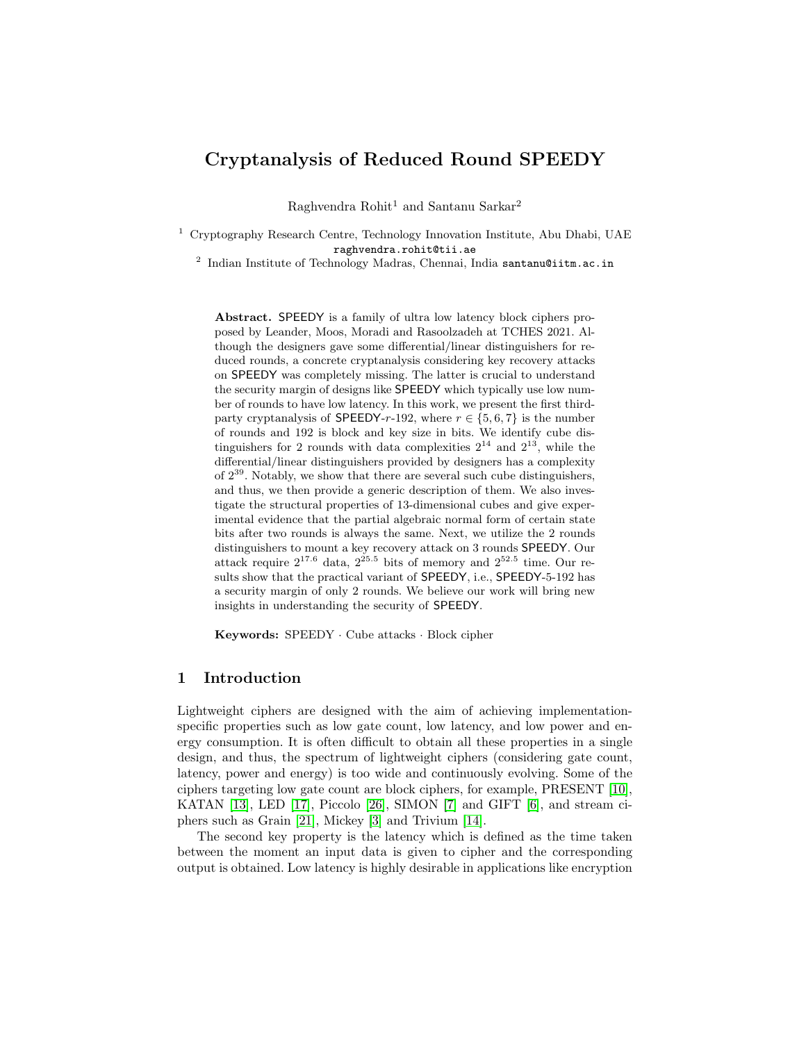# Cryptanalysis of Reduced Round SPEEDY

Raghvendra Rohit<sup>1</sup> and Santanu Sarkar<sup>2</sup>

<sup>1</sup> Cryptography Research Centre, Technology Innovation Institute, Abu Dhabi, UAE raghvendra.rohit@tii.ae

<sup>2</sup> Indian Institute of Technology Madras, Chennai, India santanu@iitm.ac.in

Abstract. SPEEDY is a family of ultra low latency block ciphers proposed by Leander, Moos, Moradi and Rasoolzadeh at TCHES 2021. Although the designers gave some differential/linear distinguishers for reduced rounds, a concrete cryptanalysis considering key recovery attacks on SPEEDY was completely missing. The latter is crucial to understand the security margin of designs like SPEEDY which typically use low number of rounds to have low latency. In this work, we present the first thirdparty cryptanalysis of SPEEDY-r-192, where  $r \in \{5, 6, 7\}$  is the number of rounds and 192 is block and key size in bits. We identify cube distinguishers for 2 rounds with data complexities  $2^{14}$  and  $2^{13}$ , while the differential/linear distinguishers provided by designers has a complexity of  $2^{39}$ . Notably, we show that there are several such cube distinguishers, and thus, we then provide a generic description of them. We also investigate the structural properties of 13-dimensional cubes and give experimental evidence that the partial algebraic normal form of certain state bits after two rounds is always the same. Next, we utilize the 2 rounds distinguishers to mount a key recovery attack on 3 rounds SPEEDY. Our attack require  $2^{17.6}$  data,  $2^{25.5}$  bits of memory and  $2^{52.5}$  time. Our results show that the practical variant of SPEEDY, i.e., SPEEDY-5-192 has a security margin of only 2 rounds. We believe our work will bring new insights in understanding the security of SPEEDY.

Keywords: SPEEDY · Cube attacks · Block cipher

### 1 Introduction

Lightweight ciphers are designed with the aim of achieving implementationspecific properties such as low gate count, low latency, and low power and energy consumption. It is often difficult to obtain all these properties in a single design, and thus, the spectrum of lightweight ciphers (considering gate count, latency, power and energy) is too wide and continuously evolving. Some of the ciphers targeting low gate count are block ciphers, for example, PRESENT [\[10\]](#page-15-0), KATAN [\[13\]](#page-16-0), LED [\[17\]](#page-16-1), Piccolo [\[26\]](#page-17-0), SIMON [\[7\]](#page-15-1) and GIFT [\[6\]](#page-15-2), and stream ciphers such as Grain [\[21\]](#page-17-1), Mickey [\[3\]](#page-15-3) and Trivium [\[14\]](#page-16-2).

The second key property is the latency which is defined as the time taken between the moment an input data is given to cipher and the corresponding output is obtained. Low latency is highly desirable in applications like encryption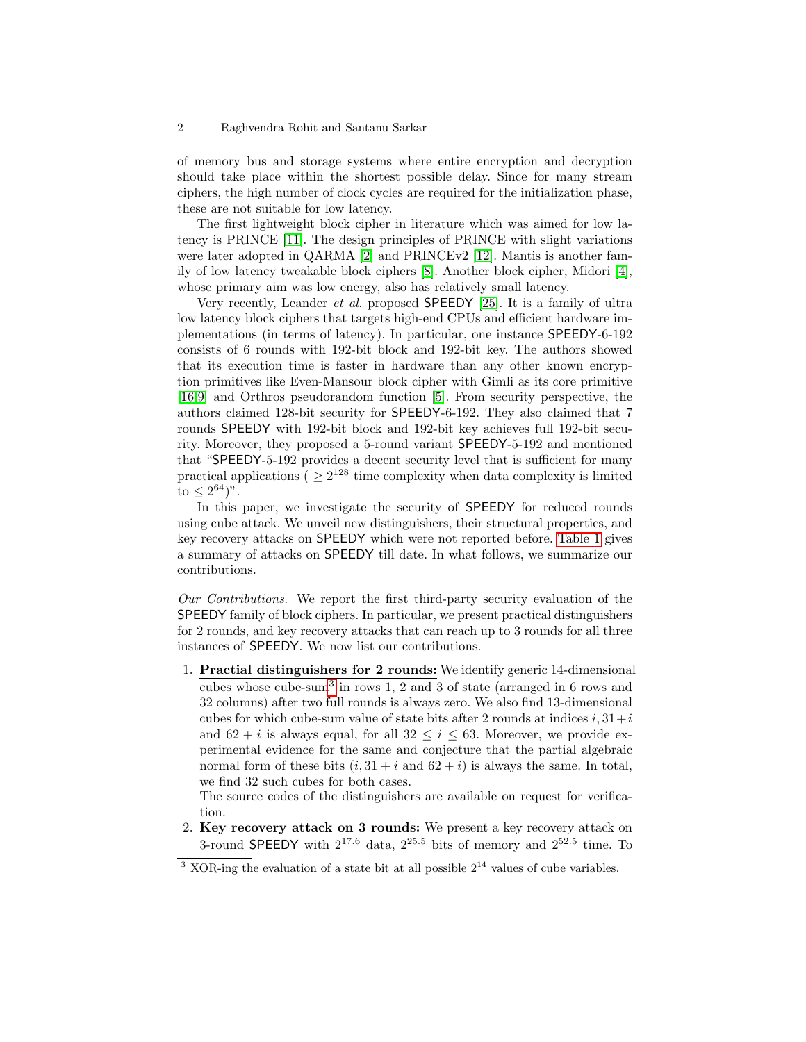of memory bus and storage systems where entire encryption and decryption should take place within the shortest possible delay. Since for many stream ciphers, the high number of clock cycles are required for the initialization phase, these are not suitable for low latency.

The first lightweight block cipher in literature which was aimed for low latency is PRINCE [\[11\]](#page-15-4). The design principles of PRINCE with slight variations were later adopted in QARMA [\[2\]](#page-15-5) and PRINCEv2 [\[12\]](#page-16-3). Mantis is another family of low latency tweakable block ciphers [\[8\]](#page-15-6). Another block cipher, Midori [\[4\]](#page-15-7), whose primary aim was low energy, also has relatively small latency.

Very recently, Leander et al. proposed SPEEDY [\[25\]](#page-17-2). It is a family of ultra low latency block ciphers that targets high-end CPUs and efficient hardware implementations (in terms of latency). In particular, one instance SPEEDY-6-192 consists of 6 rounds with 192-bit block and 192-bit key. The authors showed that its execution time is faster in hardware than any other known encryption primitives like Even-Mansour block cipher with Gimli as its core primitive [\[16](#page-16-4)[,9\]](#page-15-8) and Orthros pseudorandom function [\[5\]](#page-15-9). From security perspective, the authors claimed 128-bit security for SPEEDY-6-192. They also claimed that 7 rounds SPEEDY with 192-bit block and 192-bit key achieves full 192-bit security. Moreover, they proposed a 5-round variant SPEEDY-5-192 and mentioned that "SPEEDY-5-192 provides a decent security level that is sufficient for many practical applications ( $\geq 2^{128}$  time complexity when data complexity is limited  $to \leq 2^{64})"$ .

In this paper, we investigate the security of SPEEDY for reduced rounds using cube attack. We unveil new distinguishers, their structural properties, and key recovery attacks on SPEEDY which were not reported before. [Table 1](#page-2-0) gives a summary of attacks on SPEEDY till date. In what follows, we summarize our contributions.

Our Contributions. We report the first third-party security evaluation of the SPEEDY family of block ciphers. In particular, we present practical distinguishers for 2 rounds, and key recovery attacks that can reach up to 3 rounds for all three instances of SPEEDY. We now list our contributions.

1. Practial distinguishers for 2 rounds: We identify generic 14-dimensional cubes whose cube-sum[3](#page-1-0) in rows 1, 2 and 3 of state (arranged in 6 rows and 32 columns) after two full rounds is always zero. We also find 13-dimensional cubes for which cube-sum value of state bits after 2 rounds at indices  $i, 31+i$ and  $62 + i$  is always equal, for all  $32 \leq i \leq 63$ . Moreover, we provide experimental evidence for the same and conjecture that the partial algebraic normal form of these bits  $(i, 31 + i$  and  $62 + i)$  is always the same. In total, we find 32 such cubes for both cases.

The source codes of the distinguishers are available on request for verification.

2. Key recovery attack on 3 rounds: We present a key recovery attack on 3-round SPEEDY with  $2^{17.6}$  data,  $2^{25.5}$  bits of memory and  $2^{52.5}$  time. To

<span id="page-1-0"></span> $3$  XOR-ing the evaluation of a state bit at all possible  $2^{14}$  values of cube variables.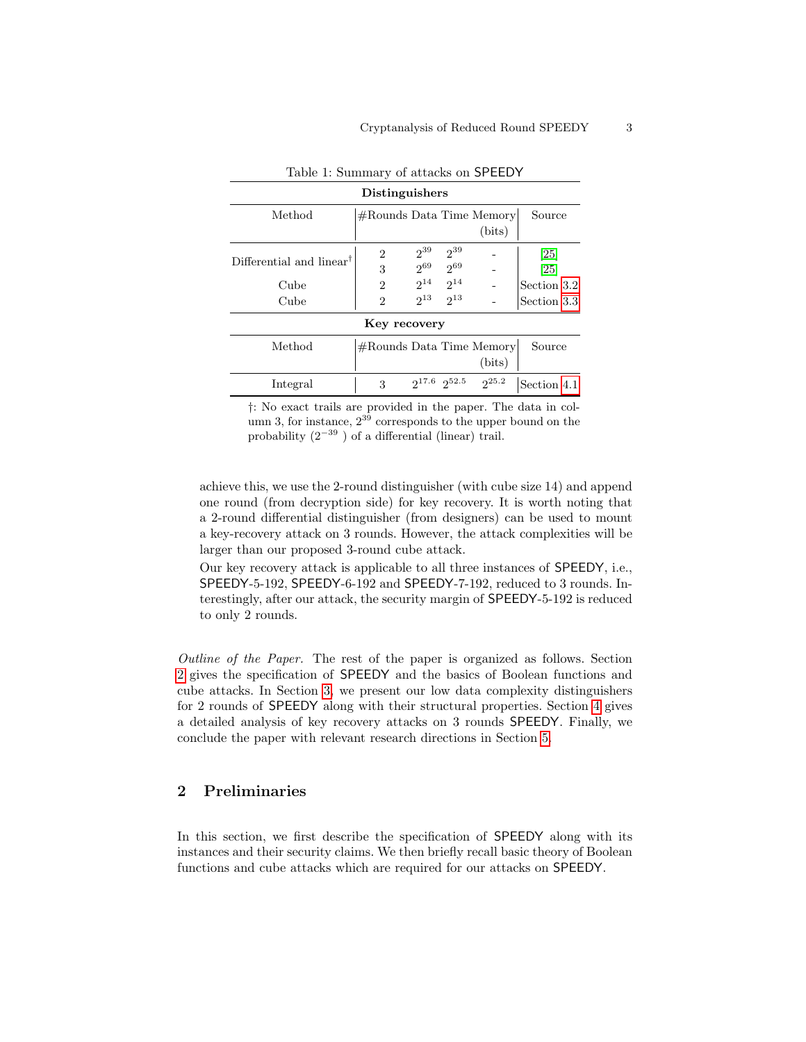<span id="page-2-0"></span>

| Distinguishers                       |                             |                     |          |            |             |  |  |  |  |
|--------------------------------------|-----------------------------|---------------------|----------|------------|-------------|--|--|--|--|
| Method                               | $#$ Rounds Data Time Memory | Source              |          |            |             |  |  |  |  |
|                                      |                             |                     |          | (bits)     |             |  |  |  |  |
| Differential and linear <sup>†</sup> | 2                           | $2^{39}$            | $2^{39}$ |            | 25          |  |  |  |  |
|                                      | 3                           | $2^{69}$            | $2^{69}$ |            | [25]        |  |  |  |  |
| Cube                                 | 2                           | $2^{14}$            | $2^{14}$ |            | Section 3.2 |  |  |  |  |
| Cube                                 | 2                           | $2^{13}$            | $2^{13}$ |            | Section 3.3 |  |  |  |  |
| Key recovery                         |                             |                     |          |            |             |  |  |  |  |
| Method                               | $#$ Rounds Data Time Memory |                     |          |            | Source      |  |  |  |  |
|                                      |                             |                     |          | (bits)     |             |  |  |  |  |
| Integral                             | 3                           | $2^{17.6} 2^{52.5}$ |          | $2^{25.2}$ | Section 4.1 |  |  |  |  |

### Table 1: Summary of attacks on SPEEDY

†: No exact trails are provided in the paper. The data in column 3, for instance,  $2^{39}$  corresponds to the upper bound on the probability  $(2^{-39})$  of a differential (linear) trail.

achieve this, we use the 2-round distinguisher (with cube size 14) and append one round (from decryption side) for key recovery. It is worth noting that a 2-round differential distinguisher (from designers) can be used to mount a key-recovery attack on 3 rounds. However, the attack complexities will be larger than our proposed 3-round cube attack.

Our key recovery attack is applicable to all three instances of SPEEDY, i.e., SPEEDY-5-192, SPEEDY-6-192 and SPEEDY-7-192, reduced to 3 rounds. Interestingly, after our attack, the security margin of SPEEDY-5-192 is reduced to only 2 rounds.

Outline of the Paper. The rest of the paper is organized as follows. Section [2](#page-2-1) gives the specification of SPEEDY and the basics of Boolean functions and cube attacks. In Section [3,](#page-6-0) we present our low data complexity distinguishers for 2 rounds of SPEEDY along with their structural properties. Section [4](#page-11-1) gives a detailed analysis of key recovery attacks on 3 rounds SPEEDY. Finally, we conclude the paper with relevant research directions in Section [5.](#page-13-0)

# <span id="page-2-1"></span>2 Preliminaries

In this section, we first describe the specification of SPEEDY along with its instances and their security claims. We then briefly recall basic theory of Boolean functions and cube attacks which are required for our attacks on SPEEDY.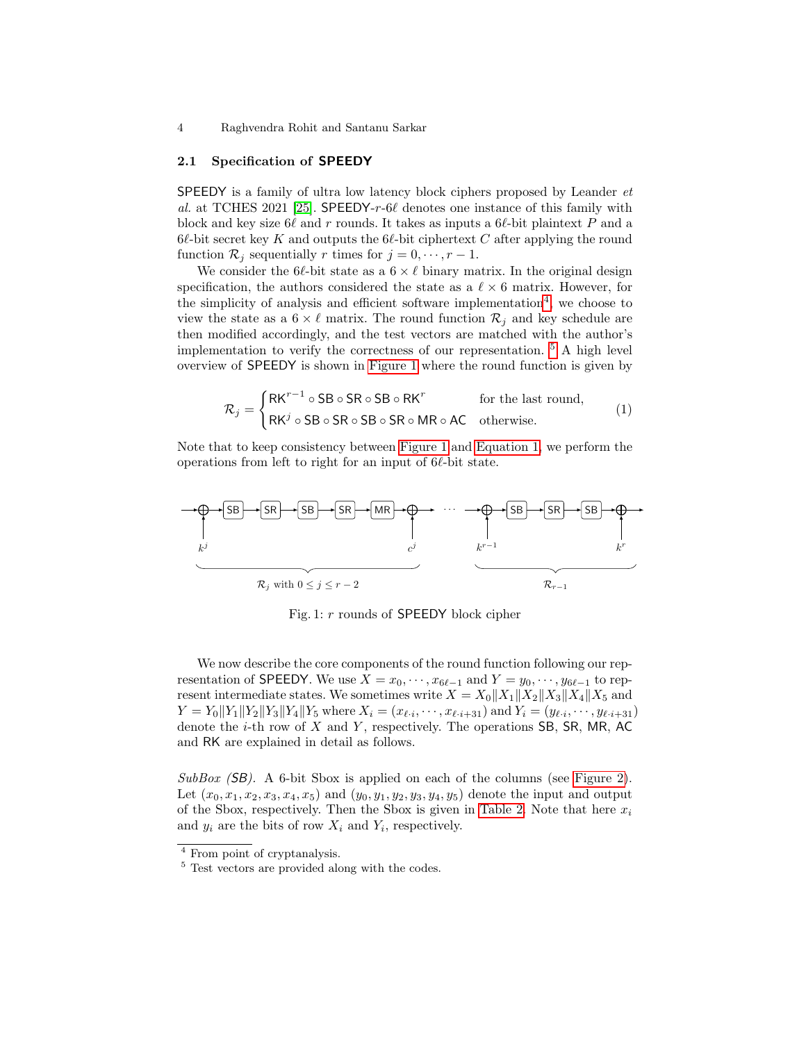### 2.1 Specification of SPEEDY

SPEEDY is a family of ultra low latency block ciphers proposed by Leander et al. at TCHES 2021 [\[25\]](#page-17-2). SPEEDY-r-6 $\ell$  denotes one instance of this family with block and key size  $6\ell$  and r rounds. It takes as inputs a  $6\ell$ -bit plaintext P and a  $6\ell$ -bit secret key K and outputs the  $6\ell$ -bit ciphertext C after applying the round function  $\mathcal{R}_j$  sequentially r times for  $j = 0, \dots, r - 1$ .

We consider the 6 $\ell$ -bit state as a  $6 \times \ell$  binary matrix. In the original design specification, the authors considered the state as a  $\ell \times 6$  matrix. However, for the simplicity of analysis and efficient software implementation<sup>[4](#page-3-0)</sup>, we choose to view the state as a  $6 \times \ell$  matrix. The round function  $\mathcal{R}_i$  and key schedule are then modified accordingly, and the test vectors are matched with the author's implementation to verify the correctness of our representation. [5](#page-3-1) A high level overview of SPEEDY is shown in [Figure 1](#page-3-2) where the round function is given by

<span id="page-3-3"></span>
$$
\mathcal{R}_j = \begin{cases} \text{RK}^{r-1} \circ \text{SB} \circ \text{SR} \circ \text{SB} \circ \text{RK}^r & \text{for the last round,} \\ \text{RK}^j \circ \text{SB} \circ \text{SR} \circ \text{SB} \circ \text{SR} \circ \text{MR} \circ \text{AC} & \text{otherwise.} \end{cases}
$$
(1)

Note that to keep consistency between [Figure 1](#page-3-2) and [Equation 1,](#page-3-3) we perform the operations from left to right for an input of  $6\ell$ -bit state.

<span id="page-3-2"></span>

Fig. 1: r rounds of SPEEDY block cipher

We now describe the core components of the round function following our representation of SPEEDY. We use  $X = x_0, \dots, x_{6\ell-1}$  and  $Y = y_0, \dots, y_{6\ell-1}$  to represent intermediate states. We sometimes write  $X = X_0||X_1||X_2||X_3||X_4||X_5$  and  $Y = Y_0 \| Y_1 \| Y_2 \| Y_3 \| Y_4 \| Y_5$  where  $X_i = (x_{\ell \cdot i}, \dots, x_{\ell \cdot i+31})$  and  $Y_i = (y_{\ell \cdot i}, \dots, y_{\ell \cdot i+31})$ denote the  $i$ -th row of  $X$  and  $Y$ , respectively. The operations SB, SR, MR, AC and RK are explained in detail as follows.

 $SubBox$  (SB). A 6-bit Sbox is applied on each of the columns (see [Figure 2\)](#page-4-0). Let  $(x_0, x_1, x_2, x_3, x_4, x_5)$  and  $(y_0, y_1, y_2, y_3, y_4, y_5)$  denote the input and output of the Sbox, respectively. Then the Sbox is given in [Table 2.](#page-4-1) Note that here  $x_i$ and  $y_i$  are the bits of row  $X_i$  and  $Y_i$ , respectively.

<span id="page-3-0"></span><sup>4</sup> From point of cryptanalysis.

<span id="page-3-1"></span><sup>&</sup>lt;sup>5</sup> Test vectors are provided along with the codes.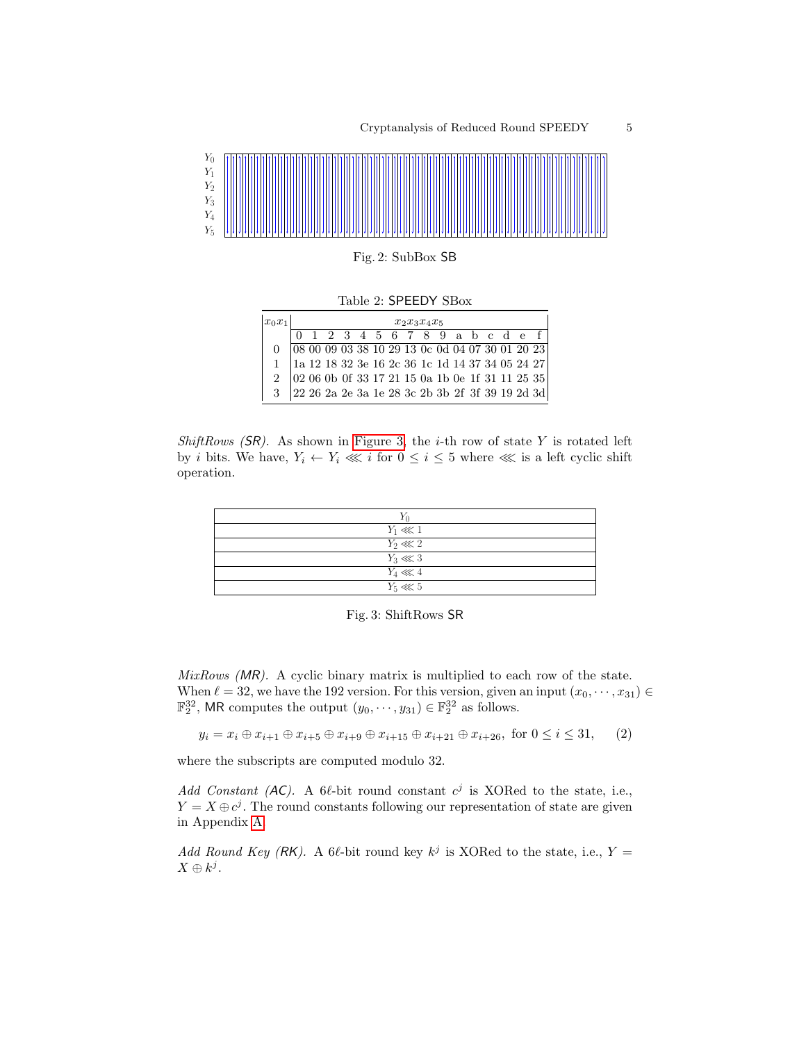<span id="page-4-0"></span>

Table 2: SPEEDY SBox

<span id="page-4-1"></span>

| $x_0x_1$                                                                                                                                                                                                     | $x_2x_3x_4x_5$ |  |  |  |  |  |  |  |  |  |  |  |                                                                               |
|--------------------------------------------------------------------------------------------------------------------------------------------------------------------------------------------------------------|----------------|--|--|--|--|--|--|--|--|--|--|--|-------------------------------------------------------------------------------|
|                                                                                                                                                                                                              |                |  |  |  |  |  |  |  |  |  |  |  | 0 1 2 3 4 5 6 7 8 9 a b c d e f                                               |
|                                                                                                                                                                                                              |                |  |  |  |  |  |  |  |  |  |  |  | $\boxed{08\ 00\ 09\ 03\ 38\ 10\ 29\ 13\ 0c\ 0d\ 04\ 07\ 30\ 01\ 20\ 23}$      |
| $\begin{array}{c cccccc} 1 & 1a & 12 & 18 & 32 & 3e & 16 & 2c & 36 & 1c & 1d & 14 & 37 & 34 & 05 & 24 & 27 \\ 2 & 02 & 06 & 0b & 0f & 33 & 17 & 21 & 15 & 0a & 1b & 0e & 1f & 31 & 11 & 25 & 35 \end{array}$ |                |  |  |  |  |  |  |  |  |  |  |  |                                                                               |
|                                                                                                                                                                                                              |                |  |  |  |  |  |  |  |  |  |  |  |                                                                               |
| 3                                                                                                                                                                                                            |                |  |  |  |  |  |  |  |  |  |  |  | $\left 22\;26\;2a\;2e\;3a\;1e\;28\;3c\;2b\;3b\;2f\;3f\;39\;19\;2d\;3d\right $ |

ShiftRows  $(SR)$ . As shown in [Figure 3,](#page-4-2) the *i*-th row of state Y is rotated left by *i* bits. We have,  $Y_i \leftarrow Y_i \ll i$  for  $0 \leq i \leq 5$  where  $\ll$  is a left cyclic shift operation.

<span id="page-4-2"></span>

| $Y_1 \lll 1$ |
|--------------|
| $Y_2 \ll 2$  |
| $Y_3 \lll 3$ |
| $Y_4 \ll 4$  |
| $Y_5 \lll 5$ |

Fig. 3: ShiftRows SR

MixRows (MR). A cyclic binary matrix is multiplied to each row of the state. When  $\ell = 32$ , we have the 192 version. For this version, given an input  $(x_0, \dots, x_{31}) \in$  $\mathbb{F}_2^{32}$ , MR computes the output  $(y_0, \dots, y_{31}) \in \mathbb{F}_2^{32}$  as follows.

 $y_i = x_i \oplus x_{i+1} \oplus x_{i+5} \oplus x_{i+9} \oplus x_{i+15} \oplus x_{i+21} \oplus x_{i+26}$ , for  $0 \le i \le 31$ , (2)

where the subscripts are computed modulo 32.

Add Constant (AC). A 6 $\ell$ -bit round constant  $c^j$  is XORed to the state, i.e.,  $Y = X \oplus c^{j}$ . The round constants following our representation of state are given in Appendix [A.](#page-14-0)

Add Round Key (RK). A 6 $\ell$ -bit round key  $k^j$  is XORed to the state, i.e.,  $Y =$  $X \oplus k^j$ .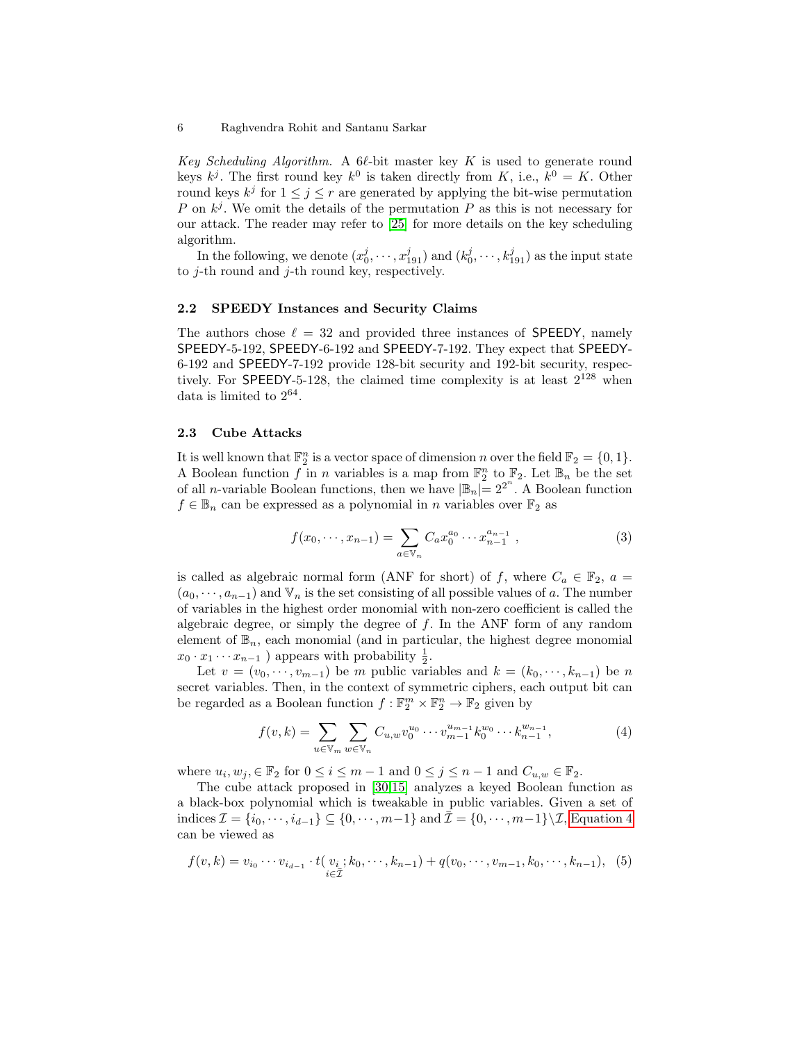Key Scheduling Algorithm. A 6 $\ell$ -bit master key K is used to generate round keys  $k^j$ . The first round key  $k^0$  is taken directly from K, i.e.,  $k^0 = K$ . Other round keys  $k^j$  for  $1 \leq j \leq r$  are generated by applying the bit-wise permutation P on  $k^j$ . We omit the details of the permutation P as this is not necessary for our attack. The reader may refer to [\[25\]](#page-17-2) for more details on the key scheduling algorithm.

In the following, we denote  $(x_0^j, \dots, x_{191}^j)$  and  $(k_0^j, \dots, k_{191}^j)$  as the input state to  $i$ -th round and  $i$ -th round key, respectively.

#### 2.2 SPEEDY Instances and Security Claims

The authors chose  $\ell = 32$  and provided three instances of SPEEDY, namely SPEEDY-5-192, SPEEDY-6-192 and SPEEDY-7-192. They expect that SPEEDY-6-192 and SPEEDY-7-192 provide 128-bit security and 192-bit security, respectively. For SPEEDY-5-128, the claimed time complexity is at least  $2^{128}$  when data is limited to  $2^{64}$ .

### 2.3 Cube Attacks

It is well known that  $\mathbb{F}_2^n$  is a vector space of dimension n over the field  $\mathbb{F}_2 = \{0, 1\}.$ A Boolean function f in n variables is a map from  $\mathbb{F}_2^n$  to  $\mathbb{F}_2$ . Let  $\mathbb{B}_n$  be the set of all *n*-variable Boolean functions, then we have  $|\mathbb{B}_n| = 2^{2^n}$ . A Boolean function  $f \in \mathbb{B}_n$  can be expressed as a polynomial in n variables over  $\mathbb{F}_2$  as

$$
f(x_0, \dots, x_{n-1}) = \sum_{a \in \mathbb{V}_n} C_a x_0^{a_0} \dots x_{n-1}^{a_{n-1}}, \tag{3}
$$

is called as algebraic normal form (ANF for short) of f, where  $C_a \in \mathbb{F}_2$ ,  $a =$  $(a_0, \dots, a_{n-1})$  and  $\mathbb{V}_n$  is the set consisting of all possible values of a. The number of variables in the highest order monomial with non-zero coefficient is called the algebraic degree, or simply the degree of  $f$ . In the ANF form of any random element of  $\mathbb{B}_n$ , each monomial (and in particular, the highest degree monomial  $x_0 \cdot x_1 \cdots x_{n-1}$ ) appears with probability  $\frac{1}{2}$ .

Let  $v = (v_0, \dots, v_{m-1})$  be m public variables and  $k = (k_0, \dots, k_{n-1})$  be n secret variables. Then, in the context of symmetric ciphers, each output bit can be regarded as a Boolean function  $f : \mathbb{F}_2^m \times \mathbb{F}_2^n \to \mathbb{F}_2$  given by

<span id="page-5-0"></span>
$$
f(v,k) = \sum_{u \in \mathbb{V}_m} \sum_{w \in \mathbb{V}_n} C_{u,w} v_0^{u_0} \cdots v_{m-1}^{u_{m-1}} k_0^{w_0} \cdots k_{n-1}^{w_{n-1}},
$$
(4)

where  $u_i, w_j, \in \mathbb{F}_2$  for  $0 \le i \le m-1$  and  $0 \le j \le n-1$  and  $C_{u,w} \in \mathbb{F}_2$ .

The cube attack proposed in [\[30,](#page-17-3)[15\]](#page-16-5) analyzes a keyed Boolean function as a black-box polynomial which is tweakable in public variables. Given a set of indices  $\mathcal{I} = \{i_0, \dots, i_{d-1}\} \subseteq \{0, \dots, m-1\}$  and  $\bar{\mathcal{I}} = \{0, \dots, m-1\} \setminus \mathcal{I}$ , [Equation 4](#page-5-0) can be viewed as

<span id="page-5-1"></span>
$$
f(v,k) = v_{i_0} \cdots v_{i_{d-1}} \cdot t(v_i; k_0, \cdots, k_{n-1}) + q(v_0, \cdots, v_{m-1}, k_0, \cdots, k_{n-1}), \tag{5}
$$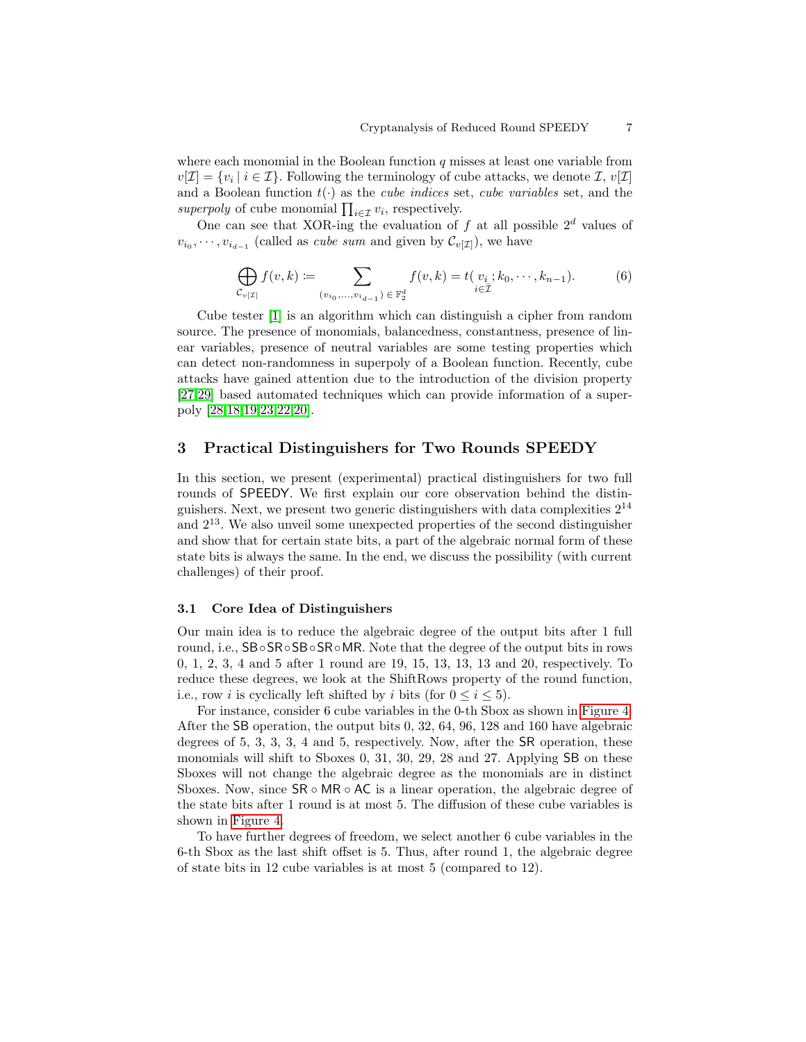where each monomial in the Boolean function  $q$  misses at least one variable from  $v[\mathcal{I}] = \{v_i \mid i \in \mathcal{I}\}\.$  Following the terminology of cube attacks, we denote  $\mathcal{I}, v[\mathcal{I}]$ and a Boolean function  $t(\cdot)$  as the *cube indices* set, *cube variables* set, and the superpoly of cube monomial  $\prod_{i \in \mathcal{I}} v_i$ , respectively.

One can see that XOR-ing the evaluation of f at all possible  $2^d$  values of  $v_{i_0}, \dots, v_{i_{d-1}}$  (called as *cube sum* and given by  $\mathcal{C}_{v[\mathcal{I}]})$ , we have

$$
\bigoplus_{\mathcal{C}_{v[\mathcal{I}]}} f(v,k) \coloneqq \sum_{(v_{i_0},...,v_{i_{d-1}}) \in \mathbb{F}_2^d} f(v,k) = t(v_i; k_0, \cdots, k_{n-1}).
$$
 (6)

Cube tester [\[1\]](#page-14-1) is an algorithm which can distinguish a cipher from random source. The presence of monomials, balancedness, constantness, presence of linear variables, presence of neutral variables are some testing properties which can detect non-randomness in superpoly of a Boolean function. Recently, cube attacks have gained attention due to the introduction of the division property [\[27](#page-17-4)[,29\]](#page-17-5) based automated techniques which can provide information of a superpoly [\[28,](#page-17-6)[18](#page-16-6)[,19,](#page-16-7)[23,](#page-17-7)[22,](#page-17-8)[20\]](#page-17-9).

### <span id="page-6-0"></span>3 Practical Distinguishers for Two Rounds SPEEDY

In this section, we present (experimental) practical distinguishers for two full rounds of SPEEDY. We first explain our core observation behind the distinguishers. Next, we present two generic distinguishers with data complexities  $2^{14}$ and  $2^{13}$ . We also unveil some unexpected properties of the second distinguisher and show that for certain state bits, a part of the algebraic normal form of these state bits is always the same. In the end, we discuss the possibility (with current challenges) of their proof.

### 3.1 Core Idea of Distinguishers

Our main idea is to reduce the algebraic degree of the output bits after 1 full round, i.e., SB◦SR◦SB◦SR◦MR. Note that the degree of the output bits in rows 0, 1, 2, 3, 4 and 5 after 1 round are 19, 15, 13, 13, 13 and 20, respectively. To reduce these degrees, we look at the ShiftRows property of the round function, i.e., row *i* is cyclically left shifted by *i* bits (for  $0 \le i \le 5$ ).

For instance, consider 6 cube variables in the 0-th Sbox as shown in [Figure 4.](#page-7-1) After the SB operation, the output bits 0, 32, 64, 96, 128 and 160 have algebraic degrees of 5, 3, 3, 3, 4 and 5, respectively. Now, after the SR operation, these monomials will shift to Sboxes 0, 31, 30, 29, 28 and 27. Applying SB on these Sboxes will not change the algebraic degree as the monomials are in distinct Sboxes. Now, since  $SR \circ MR \circ AC$  is a linear operation, the algebraic degree of the state bits after 1 round is at most 5. The diffusion of these cube variables is shown in [Figure 4.](#page-7-1)

To have further degrees of freedom, we select another 6 cube variables in the 6-th Sbox as the last shift offset is 5. Thus, after round 1, the algebraic degree of state bits in 12 cube variables is at most 5 (compared to 12).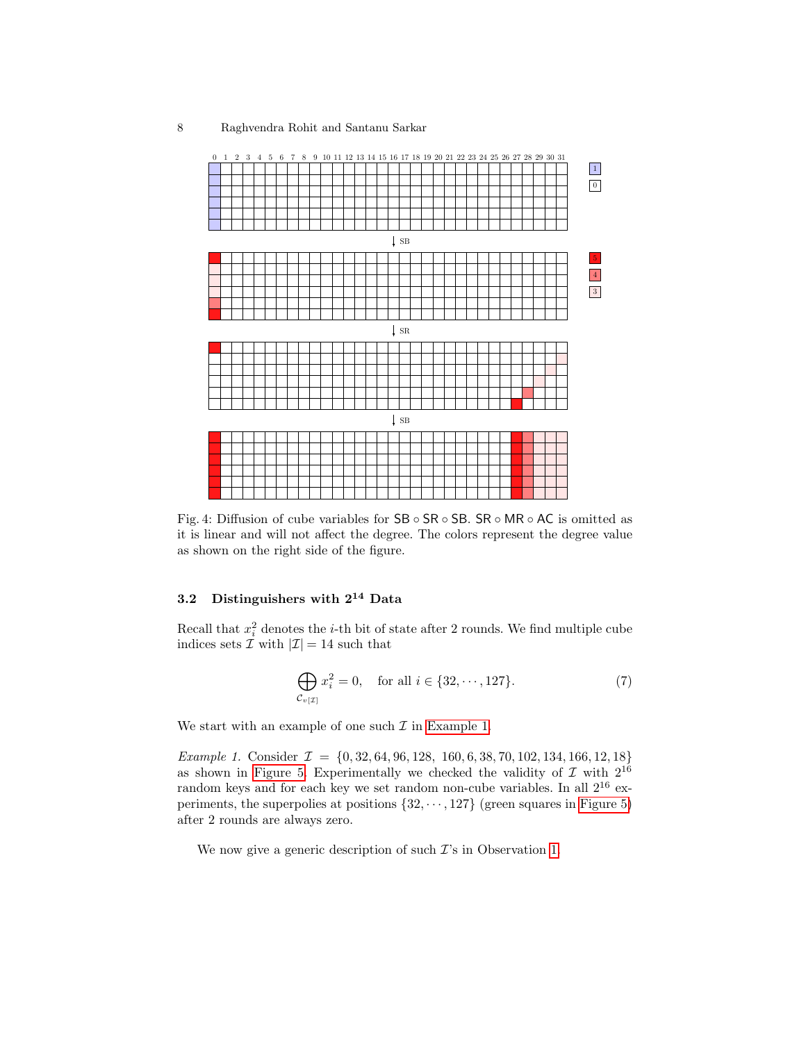<span id="page-7-1"></span>

Fig. 4: Diffusion of cube variables for SB ◦ SR ◦ SB. SR ◦ MR ◦ AC is omitted as it is linear and will not affect the degree. The colors represent the degree value as shown on the right side of the figure.

# <span id="page-7-0"></span>3.2 Distinguishers with  $2^{14}$  Data

Recall that  $x_i^2$  denotes the *i*-th bit of state after 2 rounds. We find multiple cube indices sets  $\tilde{\mathcal{I}}$  with  $|\mathcal{I}| = 14$  such that

$$
\bigoplus_{\mathcal{C}_{v[\mathcal{I}]}} x_i^2 = 0, \quad \text{for all } i \in \{32, \cdots, 127\}. \tag{7}
$$

<span id="page-7-2"></span>We start with an example of one such  $\mathcal I$  in [Example 1.](#page-7-2)

Example 1. Consider  $\mathcal{I} = \{0, 32, 64, 96, 128, 160, 6, 38, 70, 102, 134, 166, 12, 18\}$ as shown in [Figure 5.](#page-8-1) Experimentally we checked the validity of  $\mathcal I$  with  $2^{16}$ random keys and for each key we set random non-cube variables. In all 2<sup>16</sup> experiments, the superpolies at positions  $\{32, \dots, 127\}$  (green squares in [Figure 5\)](#page-8-1) after 2 rounds are always zero.

<span id="page-7-3"></span>We now give a generic description of such  $\mathcal{I}'s$  in Observation [1.](#page-7-3)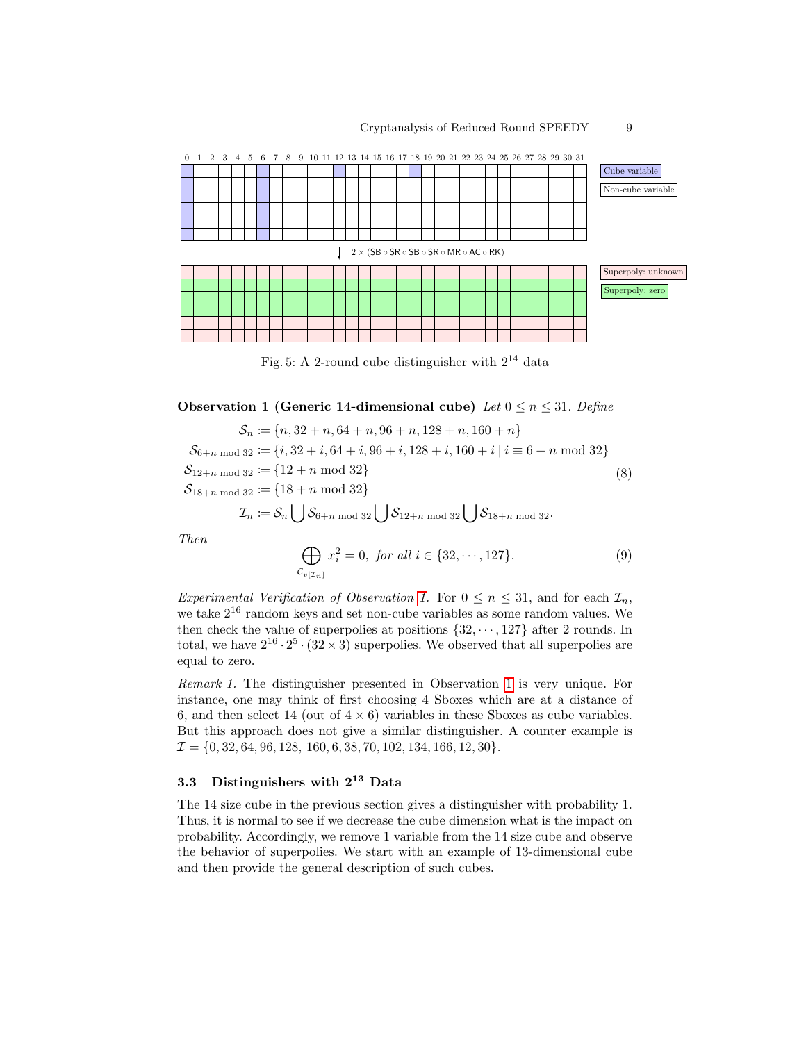<span id="page-8-1"></span>

Fig. 5: A 2-round cube distinguisher with  $2^{14}$  data

Observation 1 (Generic 14-dimensional cube) Let  $0 \le n \le 31$ . Define

$$
S_n := \{n, 32 + n, 64 + n, 96 + n, 128 + n, 160 + n\}
$$
  
\n
$$
S_{6+n \mod 32} := \{i, 32 + i, 64 + i, 96 + i, 128 + i, 160 + i \mid i \equiv 6 + n \mod 32\}
$$
  
\n
$$
S_{12+n \mod 32} := \{12 + n \mod 32\}
$$
  
\n
$$
S_{18+n \mod 32} := \{18 + n \mod 32\}
$$
  
\n
$$
\mathcal{I}_n := S_n \left| \int S_{6+n \mod 32} \right| \int S_{12+n \mod 32} \left| \int S_{18+n \mod 32} \right|
$$

Then

$$
\bigoplus_{\mathcal{C}_{v[\mathcal{I}_n]}} x_i^2 = 0, \text{ for all } i \in \{32, \cdots, 127\}. \tag{9}
$$

Experimental Verification of Observation [1.](#page-7-3) For  $0 \le n \le 31$ , and for each  $\mathcal{I}_n$ , we take 2<sup>16</sup> random keys and set non-cube variables as some random values. We then check the value of superpolies at positions  $\{32, \dots, 127\}$  after 2 rounds. In total, we have  $2^{16} \cdot 2^5 \cdot (32 \times 3)$  superpolies. We observed that all superpolies are equal to zero.

Remark 1. The distinguisher presented in Observation [1](#page-7-3) is very unique. For instance, one may think of first choosing 4 Sboxes which are at a distance of 6, and then select 14 (out of  $4 \times 6$ ) variables in these Sboxes as cube variables. But this approach does not give a similar distinguisher. A counter example is  $\mathcal{I} = \{0, 32, 64, 96, 128, 160, 6, 38, 70, 102, 134, 166, 12, 30\}.$ 

# <span id="page-8-0"></span>3.3 Distinguishers with  $2^{13}$  Data

The 14 size cube in the previous section gives a distinguisher with probability 1. Thus, it is normal to see if we decrease the cube dimension what is the impact on probability. Accordingly, we remove 1 variable from the 14 size cube and observe the behavior of superpolies. We start with an example of 13-dimensional cube and then provide the general description of such cubes.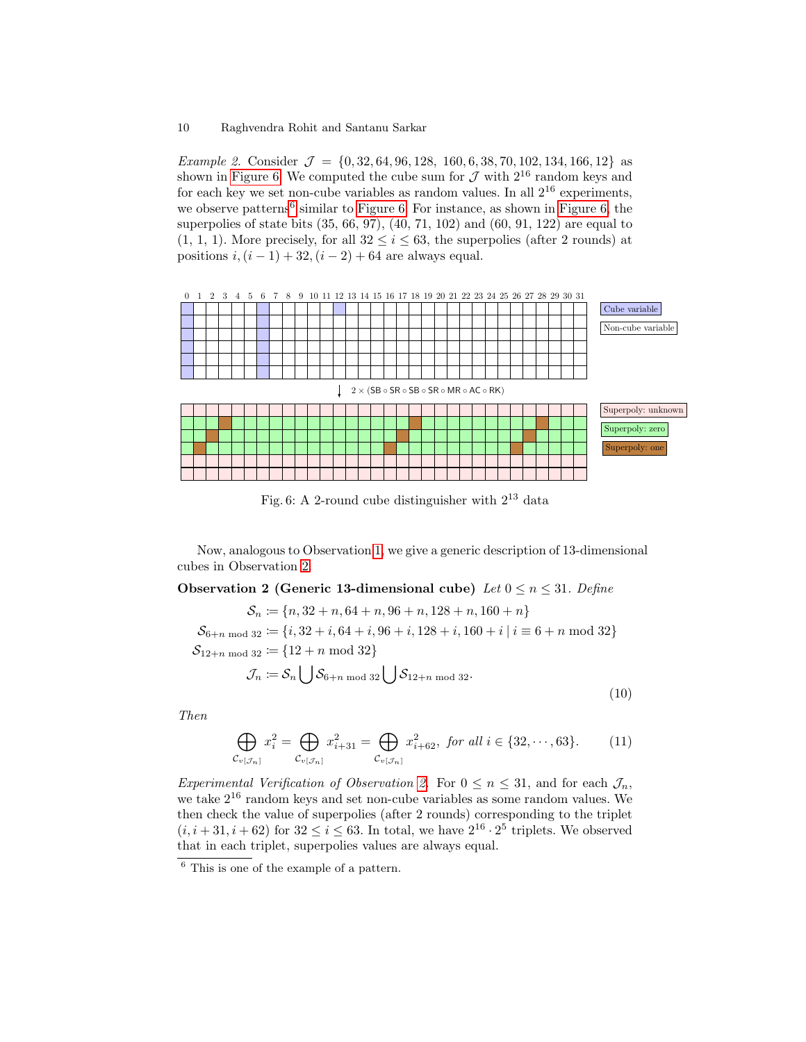Example 2. Consider  $\mathcal{J} = \{0, 32, 64, 96, 128, 160, 6, 38, 70, 102, 134, 166, 12\}$  as shown in [Figure 6.](#page-9-0) We computed the cube sum for  $\mathcal J$  with  $2^{16}$  random keys and for each key we set non-cube variables as random values. In all  $2^{16}$  experiments, we observe patterns<sup>[6](#page-9-1)</sup> similar to [Figure 6.](#page-9-0) For instance, as shown in [Figure 6,](#page-9-0) the superpolies of state bits (35, 66, 97), (40, 71, 102) and (60, 91, 122) are equal to  $(1, 1, 1)$ . More precisely, for all  $32 \leq i \leq 63$ , the superpolies (after 2 rounds) at positions  $i, (i - 1) + 32, (i - 2) + 64$  are always equal.

<span id="page-9-0"></span>

Fig. 6: A 2-round cube distinguisher with  $2^{13}$  data

Now, analogous to Observation [1,](#page-7-3) we give a generic description of 13-dimensional cubes in Observation [2.](#page-9-2)

<span id="page-9-2"></span>Observation 2 (Generic 13-dimensional cube) Let  $0 \le n \le 31$ . Define

 $\mathcal{S}_n \coloneqq \{n, 32 + n, 64 + n, 96 + n, 128 + n, 160 + n\}$  $\mathcal{S}_{6+n \bmod 32} \coloneqq \{i, 32+i, 64+i, 96+i, 128+i, 160+i \mid i \equiv 6+n \bmod 32\}$  $\mathcal{S}_{12+n \bmod 32} \coloneqq \{12+n \bmod 32\}$  $\mathcal{J}_n \coloneqq \mathcal{S}_n \big[ \; \; \big| \mathcal{S}_{6+n \bmod 32} \big| \; \; \big| \mathcal{S}_{12+n \bmod 32}.$ (10)

Then

$$
\bigoplus_{\mathcal{C}_{v[\mathcal{J}_n]}} x_i^2 = \bigoplus_{\mathcal{C}_{v[\mathcal{J}_n]}} x_{i+31}^2 = \bigoplus_{\mathcal{C}_{v[\mathcal{J}_n]}} x_{i+62}^2, \text{ for all } i \in \{32, \cdots, 63\}. \tag{11}
$$

Experimental Verification of Observation [2.](#page-9-2) For  $0 \le n \le 31$ , and for each  $\mathcal{J}_n$ , we take  $2^{16}$  random keys and set non-cube variables as some random values. We then check the value of superpolies (after 2 rounds) corresponding to the triplet  $(i, i+31, i+62)$  for  $32 \le i \le 63$ . In total, we have  $2^{16} \cdot 2^5$  triplets. We observed that in each triplet, superpolies values are always equal.

<span id="page-9-1"></span><sup>6</sup> This is one of the example of a pattern.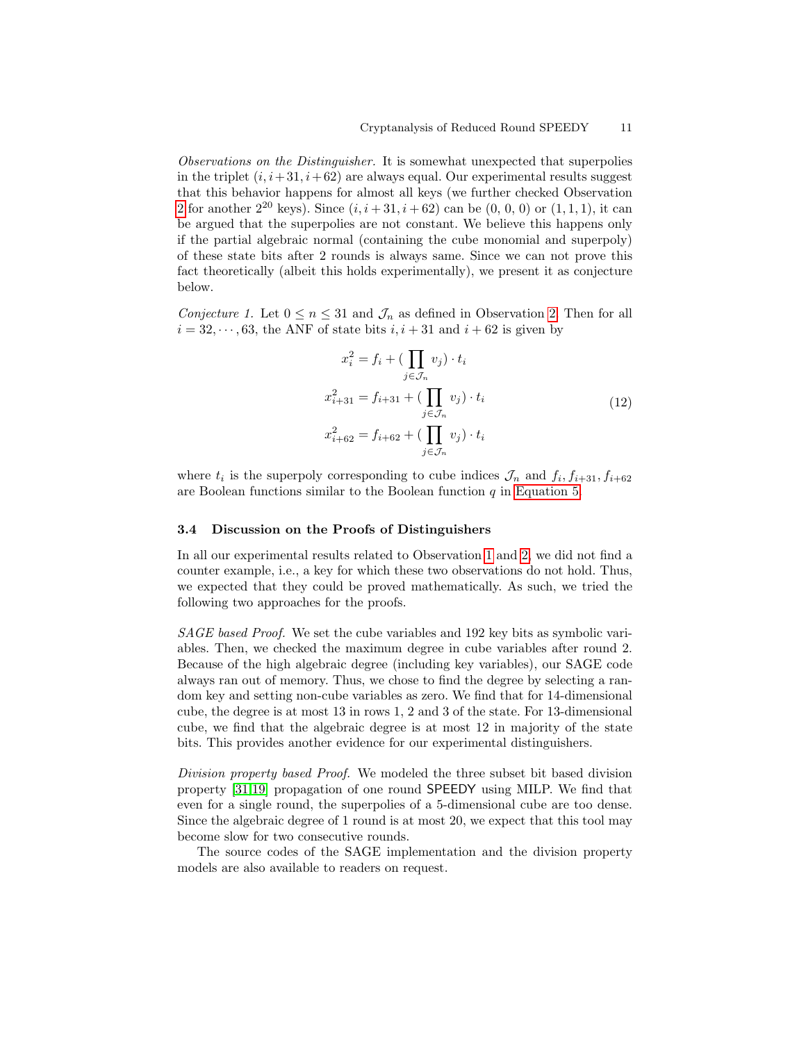Observations on the Distinguisher. It is somewhat unexpected that superpolies in the triplet  $(i, i+31, i+62)$  are always equal. Our experimental results suggest that this behavior happens for almost all keys (we further checked Observation [2](#page-9-2) for another  $2^{20}$  keys). Since  $(i, i+31, i+62)$  can be  $(0, 0, 0)$  or  $(1, 1, 1)$ , it can be argued that the superpolies are not constant. We believe this happens only if the partial algebraic normal (containing the cube monomial and superpoly) of these state bits after 2 rounds is always same. Since we can not prove this fact theoretically (albeit this holds experimentally), we present it as conjecture below.

Conjecture 1. Let  $0 \le n \le 31$  and  $\mathcal{J}_n$  as defined in Observation [2.](#page-9-2) Then for all  $i = 32, \dots, 63$ , the ANF of state bits  $i, i + 31$  and  $i + 62$  is given by

$$
x_i^2 = f_i + \left(\prod_{j \in \mathcal{J}_n} v_j\right) \cdot t_i
$$
  

$$
x_{i+31}^2 = f_{i+31} + \left(\prod_{j \in \mathcal{J}_n} v_j\right) \cdot t_i
$$
  

$$
x_{i+62}^2 = f_{i+62} + \left(\prod_{j \in \mathcal{J}_n} v_j\right) \cdot t_i
$$
 (12)

where  $t_i$  is the superpoly corresponding to cube indices  $\mathcal{J}_n$  and  $f_i, f_{i+31}, f_{i+62}$ are Boolean functions similar to the Boolean function  $q$  in [Equation 5.](#page-5-1)

#### 3.4 Discussion on the Proofs of Distinguishers

In all our experimental results related to Observation [1](#page-7-3) and [2,](#page-9-2) we did not find a counter example, i.e., a key for which these two observations do not hold. Thus, we expected that they could be proved mathematically. As such, we tried the following two approaches for the proofs.

SAGE based Proof. We set the cube variables and 192 key bits as symbolic variables. Then, we checked the maximum degree in cube variables after round 2. Because of the high algebraic degree (including key variables), our SAGE code always ran out of memory. Thus, we chose to find the degree by selecting a random key and setting non-cube variables as zero. We find that for 14-dimensional cube, the degree is at most 13 in rows 1, 2 and 3 of the state. For 13-dimensional cube, we find that the algebraic degree is at most 12 in majority of the state bits. This provides another evidence for our experimental distinguishers.

Division property based Proof. We modeled the three subset bit based division property [\[31,](#page-18-0)[19\]](#page-16-7) propagation of one round SPEEDY using MILP. We find that even for a single round, the superpolies of a 5-dimensional cube are too dense. Since the algebraic degree of 1 round is at most 20, we expect that this tool may become slow for two consecutive rounds.

The source codes of the SAGE implementation and the division property models are also available to readers on request.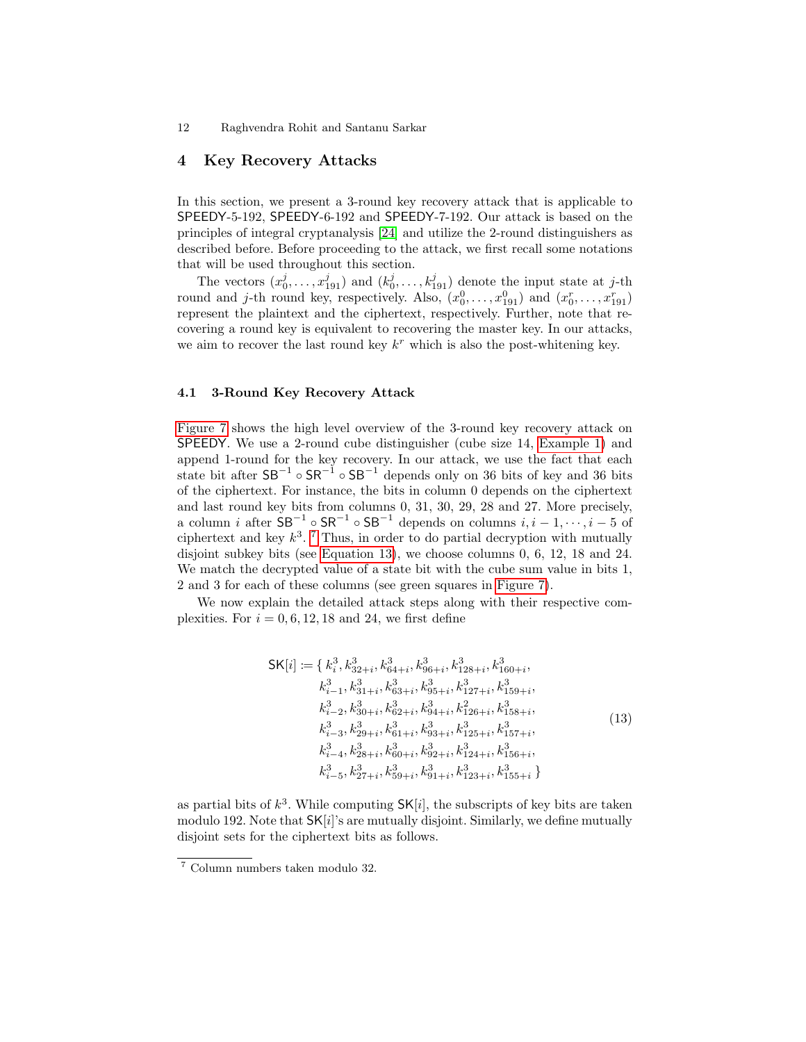# <span id="page-11-1"></span>4 Key Recovery Attacks

In this section, we present a 3-round key recovery attack that is applicable to SPEEDY-5-192, SPEEDY-6-192 and SPEEDY-7-192. Our attack is based on the principles of integral cryptanalysis [\[24\]](#page-17-10) and utilize the 2-round distinguishers as described before. Before proceeding to the attack, we first recall some notations that will be used throughout this section.

The vectors  $(x_0^j, \ldots, x_{191}^j)$  and  $(k_0^j, \ldots, k_{191}^j)$  denote the input state at j-th round and j-th round key, respectively. Also,  $(x_0^0, \ldots, x_{191}^0)$  and  $(x_0^r, \ldots, x_{191}^r)$ represent the plaintext and the ciphertext, respectively. Further, note that recovering a round key is equivalent to recovering the master key. In our attacks, we aim to recover the last round key  $k^r$  which is also the post-whitening key.

### <span id="page-11-0"></span>4.1 3-Round Key Recovery Attack

[Figure 7](#page-12-0) shows the high level overview of the 3-round key recovery attack on SPEEDY. We use a 2-round cube distinguisher (cube size 14, [Example 1\)](#page-7-2) and append 1-round for the key recovery. In our attack, we use the fact that each state bit after  $SB^{-1} \circ SR^{-1} \circ SB^{-1}$  depends only on 36 bits of key and 36 bits of the ciphertext. For instance, the bits in column 0 depends on the ciphertext and last round key bits from columns 0, 31, 30, 29, 28 and 27. More precisely, a column *i* after  $SB^{-1} \circ SR^{-1}$  of  $SB^{-1}$  depends on columns  $i, i-1, \dots, i-5$  of ciphertext and key  $k^3$ . <sup>[7](#page-11-2)</sup> Thus, in order to do partial decryption with mutually disjoint subkey bits (see [Equation 13\)](#page-11-3), we choose columns 0, 6, 12, 18 and 24. We match the decrypted value of a state bit with the cube sum value in bits 1, 2 and 3 for each of these columns (see green squares in [Figure 7\)](#page-12-0).

We now explain the detailed attack steps along with their respective complexities. For  $i = 0, 6, 12, 18$  and 24, we first define

$$
\mathsf{SK}[i] := \{k_i^3, k_{32+i}^3, k_{64+i}^3, k_{96+i}^3, k_{128+i}^3, k_{160+i}^3, k_{160+i}^3, k_{i-1}^3, k_{31+i}^3, k_{63+i}^3, k_{95+i}^3, k_{127+i}^3, k_{159+i}^3, k_{i-2}^3, k_{30+i}^3, k_{62+i}^3, k_{94+i}^3, k_{126+i}^3, k_{158+i}^3, k_{i-3}^3, k_{29+i}^3, k_{61+i}^3, k_{93+i}^3, k_{125+i}^3, k_{157+i}^3, k_{624,i}^3, k_{96+i}^3, k_{92+i}^3, k_{124+i}^3, k_{156+i}^3, k_{645,i}^3, k_{63+i}^3, k_{63+i}^3, k_{63+i}^3, k_{123+i}^3, k_{155+i}^3\}
$$
\n
$$
(13)
$$

<span id="page-11-3"></span>as partial bits of  $k^3$ . While computing  $SK[i]$ , the subscripts of key bits are taken modulo 192. Note that  $SK[i]$ 's are mutually disjoint. Similarly, we define mutually disjoint sets for the ciphertext bits as follows.

<span id="page-11-2"></span><sup>7</sup> Column numbers taken modulo 32.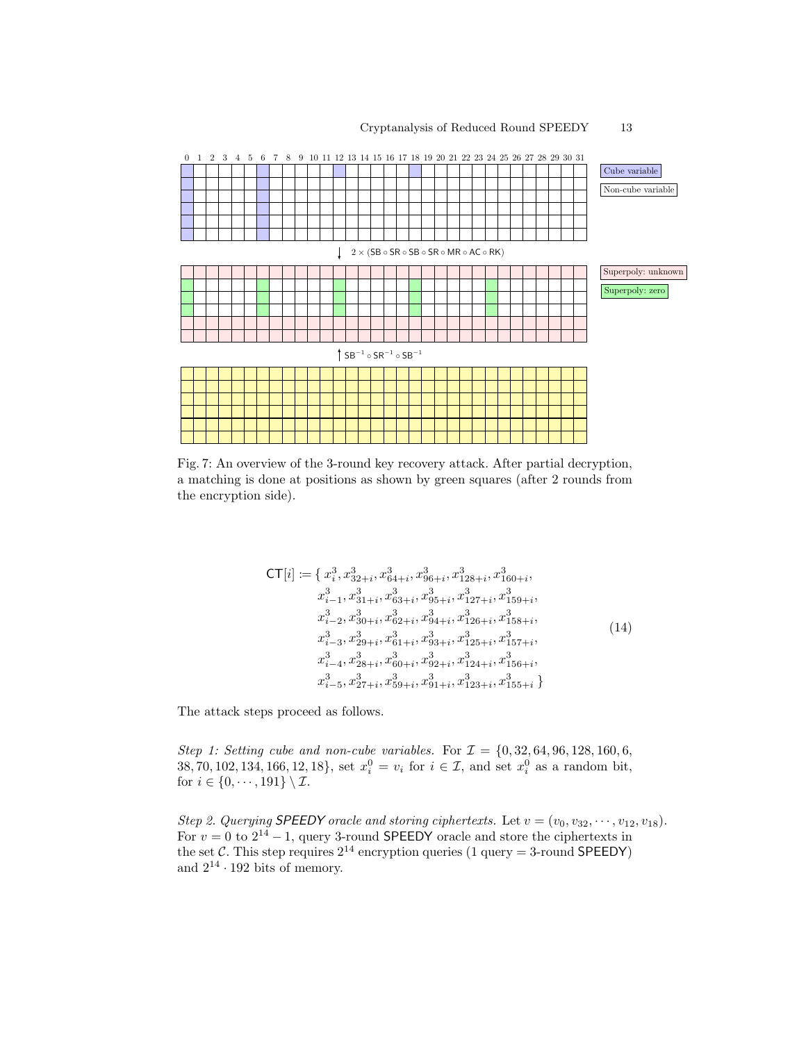### Cryptanalysis of Reduced Round SPEEDY 13

<span id="page-12-0"></span>

Fig. 7: An overview of the 3-round key recovery attack. After partial decryption, a matching is done at positions as shown by green squares (after 2 rounds from the encryption side).

$$
CT[i] := \{ x_i^3, x_{32+i}^3, x_{64+i}^3, x_{96+i}^3, x_{128+i}^3, x_{160+i}^3, x_{i-1}^3, x_{31+i}^3, x_{63+i}^3, x_{95+i}^3, x_{127+i}^3, x_{159+i}^3, x_{i-2}^3, x_{30+i}^3, x_{62+i}^3, x_{94+i}^3, x_{126+i}^3, x_{158+i}^3, x_{i-3}^3, x_{29+i}^3, x_{61+i}^3, x_{93+i}^3, x_{125+i}^3, x_{157+i}^3, x_{i-4}^3, x_{28+i}^3, x_{60+i}^3, x_{92+i}^3, x_{124+i}^3, x_{156+i}^3, x_{i-5}^3, x_{27+i}^3, x_{59+i}^3, x_{91+i}^3, x_{123+i}^3, x_{155+i}^3 \}
$$
\n
$$
(14)
$$

<span id="page-12-1"></span>The attack steps proceed as follows.

Step 1: Setting cube and non-cube variables. For  $\mathcal{I} = \{0, 32, 64, 96, 128, 160, 6,$ 38, 70, 102, 134, 166, 12, 18}, set  $x_i^0 = v_i$  for  $i \in \mathcal{I}$ , and set  $x_i^0$  as a random bit, for  $i \in \{0, \dots, 191\} \setminus \mathcal{I}$ .

Step 2. Querying SPEEDY oracle and storing ciphertexts. Let  $v = (v_0, v_{32}, \dots, v_{12}, v_{18})$ . For  $v = 0$  to  $2^{14} - 1$ , query 3-round SPEEDY oracle and store the ciphertexts in the set C. This step requires  $2^{14}$  encryption queries (1 query = 3-round SPEEDY) and  $2^{14} \cdot 192$  bits of memory.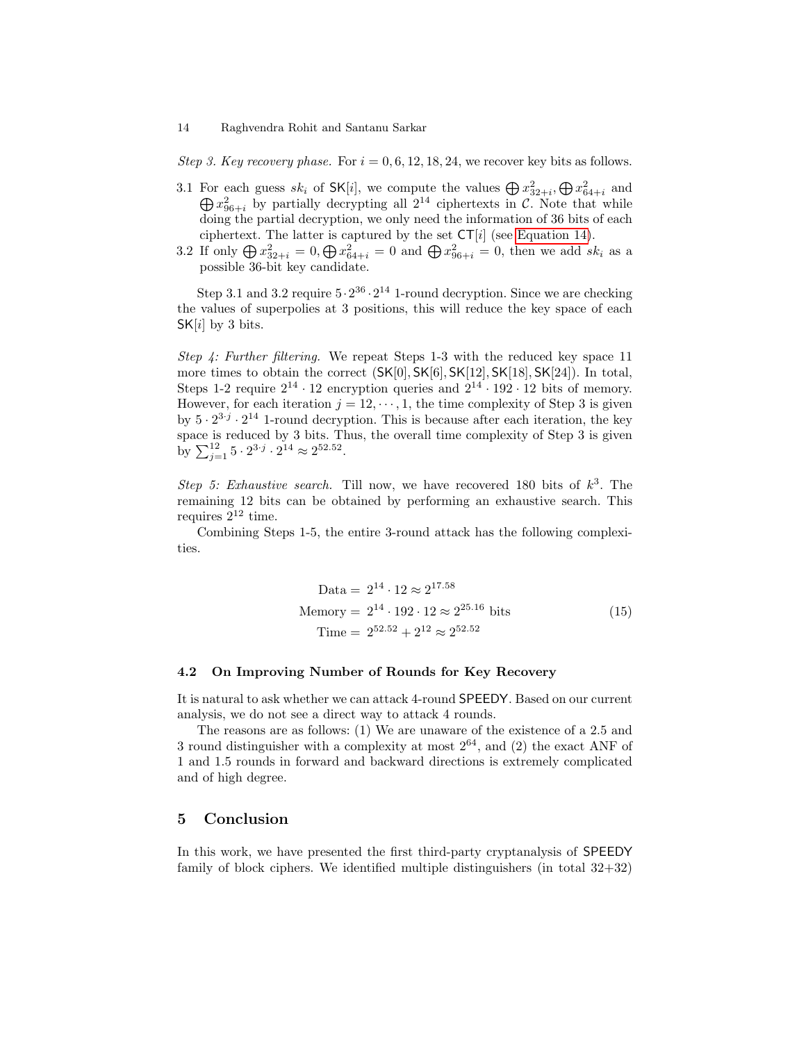Step 3. Key recovery phase. For  $i = 0, 6, 12, 18, 24$ , we recover key bits as follows.

- 3.1 For each guess  $sk_i$  of SK[i], we compute the values  $\bigoplus x_{32+i}^2, \bigoplus x_{64+i}^2$  and For each guess  $s_{ki}$  of  $\mathsf{sn}[i]$ , we compute the values  $\bigoplus x_{32+i}^2$ ,  $\bigoplus x_{64+i}^2$  and  $\bigoplus x_{96+i}^2$  by partially decrypting all  $2^{14}$  ciphertexts in C. Note that while doing the partial decryption, we only need the information of 36 bits of each ciphertext. The latter is captured by the set  $CT[i]$  (see [Equation 14\)](#page-12-1).
- 3.2 If only  $\bigoplus x_{32+i}^2 = 0, \bigoplus x_{64+i}^2 = 0$  and  $\bigoplus x_{96+i}^2 = 0$ , then we add  $sk_i$  as a possible 36-bit key candidate.

Step 3.1 and 3.2 require  $5 \cdot 2^{36} \cdot 2^{14}$  1-round decryption. Since we are checking the values of superpolies at 3 positions, this will reduce the key space of each  $SK[i]$  by 3 bits.

Step 4: Further filtering. We repeat Steps 1-3 with the reduced key space 11 more times to obtain the correct (SK[0], SK[6], SK[12], SK[18], SK[24]). In total, Steps 1-2 require  $2^{14} \cdot 12$  encryption queries and  $2^{14} \cdot 192 \cdot 12$  bits of memory. However, for each iteration  $j = 12, \dots, 1$ , the time complexity of Step 3 is given by  $5 \cdot 2^{3 \cdot j} \cdot 2^{14}$  1-round decryption. This is because after each iteration, the key space is reduced by 3 bits. Thus, the overall time complexity of Step 3 is given by  $\sum_{j=1}^{12} 5 \cdot 2^{3 \cdot j} \cdot 2^{14} \approx 2^{52.52}$ .

Step 5: Exhaustive search. Till now, we have recovered 180 bits of  $k^3$ . The remaining 12 bits can be obtained by performing an exhaustive search. This requires  $2^{12}$  time.

Combining Steps 1-5, the entire 3-round attack has the following complexities.

$$
Data = 2^{14} \cdot 12 \approx 2^{17.58}
$$
  
Memory = 2<sup>14</sup> \cdot 192 \cdot 12 \approx 2^{25.16} bits  
Time = 2<sup>52.52</sup> + 2<sup>12</sup> \approx 2<sup>52.52</sup> (15)

### 4.2 On Improving Number of Rounds for Key Recovery

It is natural to ask whether we can attack 4-round SPEEDY. Based on our current analysis, we do not see a direct way to attack 4 rounds.

The reasons are as follows: (1) We are unaware of the existence of a 2.5 and 3 round distinguisher with a complexity at most  $2^{64}$ , and (2) the exact ANF of 1 and 1.5 rounds in forward and backward directions is extremely complicated and of high degree.

### <span id="page-13-0"></span>5 Conclusion

In this work, we have presented the first third-party cryptanalysis of SPEEDY family of block ciphers. We identified multiple distinguishers (in total  $32+32$ )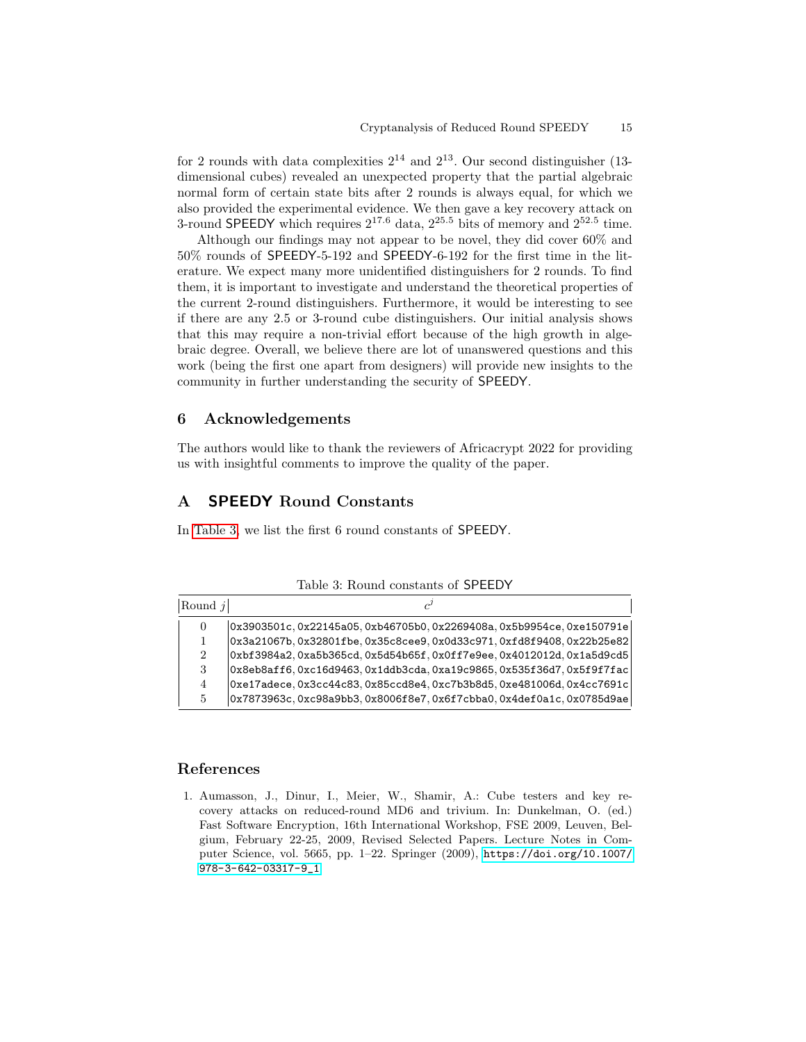for 2 rounds with data complexities  $2^{14}$  and  $2^{13}$ . Our second distinguisher (13dimensional cubes) revealed an unexpected property that the partial algebraic normal form of certain state bits after 2 rounds is always equal, for which we also provided the experimental evidence. We then gave a key recovery attack on 3-round SPEEDY which requires  $2^{17.6}$  data,  $2^{25.5}$  bits of memory and  $2^{52.5}$  time.

Although our findings may not appear to be novel, they did cover 60% and 50% rounds of SPEEDY-5-192 and SPEEDY-6-192 for the first time in the literature. We expect many more unidentified distinguishers for 2 rounds. To find them, it is important to investigate and understand the theoretical properties of the current 2-round distinguishers. Furthermore, it would be interesting to see if there are any 2.5 or 3-round cube distinguishers. Our initial analysis shows that this may require a non-trivial effort because of the high growth in algebraic degree. Overall, we believe there are lot of unanswered questions and this work (being the first one apart from designers) will provide new insights to the community in further understanding the security of SPEEDY.

### 6 Acknowledgements

The authors would like to thank the reviewers of Africacrypt 2022 for providing us with insightful comments to improve the quality of the paper.

# <span id="page-14-0"></span>A SPEEDY Round Constants

<span id="page-14-2"></span>In [Table 3,](#page-14-2) we list the first 6 round constants of SPEEDY.

| Round $i$      |                                                                               |
|----------------|-------------------------------------------------------------------------------|
| $\overline{0}$ | 0x3903501c,0x22145a05,0xb46705b0,0x2269408a,0x5b9954ce,0xe150791e             |
|                | $ 0x3a21067b, 0x32801fbe, 0x35c8cee9, 0x0d33c971, 0xfd8f9408, 0x22b25e82 $    |
| $\overline{2}$ | $0xbf3984a2.0xa5b365cd.0x5d54b65f.0x0ff7e9ee.0x4012012d.0x1a5d9cd5$           |
| 3              | $0x8e$ b $8aff6$ , 0xc16d9463, 0x1ddb3cda, 0xa19c9865, 0x535f36d7, 0x5f9f7fac |
| 4              | $[0xe17adece, 0x3cc44c83, 0x85ccd8e4, 0xc7b3b8d5, 0xe481006d, 0x4cc7691c]$    |
| 5              | 0x7873963c.0xc98a9bb3.0x8006f8e7.0x6f7cbba0.0x4def0a1c.0x0785d9ae             |

Table 3: Round constants of SPEEDY

## References

<span id="page-14-1"></span>1. Aumasson, J., Dinur, I., Meier, W., Shamir, A.: Cube testers and key recovery attacks on reduced-round MD6 and trivium. In: Dunkelman, O. (ed.) Fast Software Encryption, 16th International Workshop, FSE 2009, Leuven, Belgium, February 22-25, 2009, Revised Selected Papers. Lecture Notes in Computer Science, vol. 5665, pp. 1–22. Springer (2009), [https://doi.org/10.1007/](https://doi.org/10.1007/978-3-642-03317-9_1) [978-3-642-03317-9\\_1](https://doi.org/10.1007/978-3-642-03317-9_1)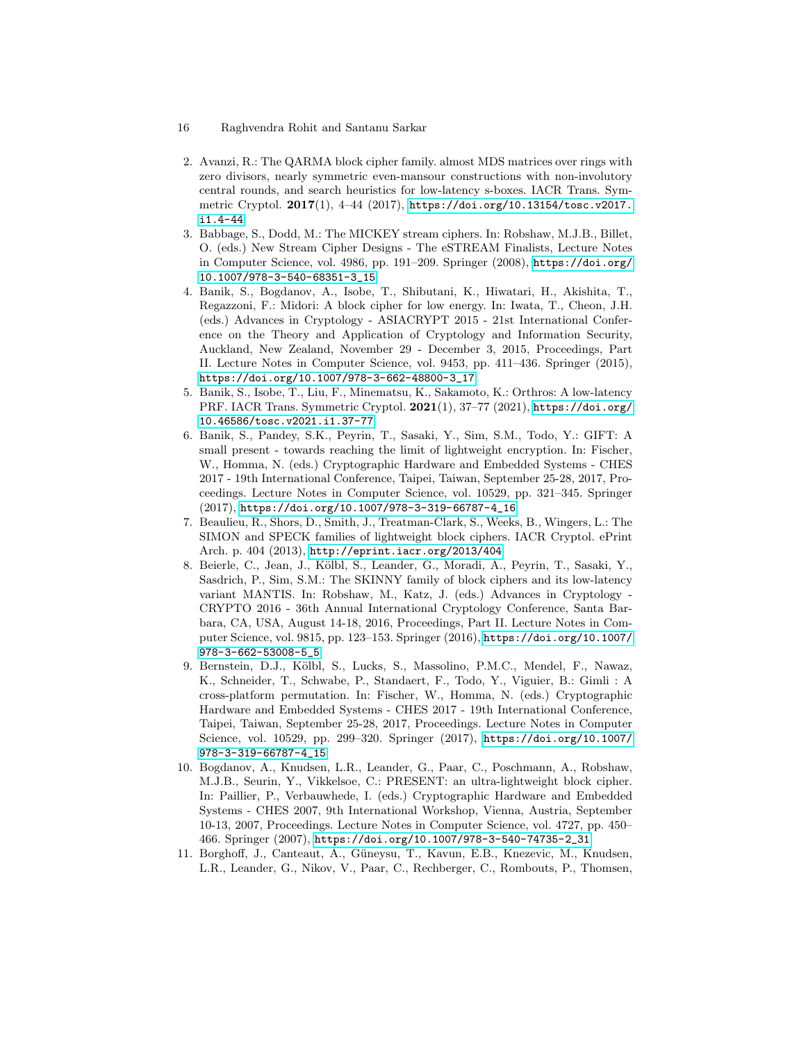- 16 Raghvendra Rohit and Santanu Sarkar
- <span id="page-15-5"></span>2. Avanzi, R.: The QARMA block cipher family. almost MDS matrices over rings with zero divisors, nearly symmetric even-mansour constructions with non-involutory central rounds, and search heuristics for low-latency s-boxes. IACR Trans. Symmetric Cryptol. 2017(1), 4–44 (2017), [https://doi.org/10.13154/tosc.v2017.](https://doi.org/10.13154/tosc.v2017.i1.4-44) [i1.4-44](https://doi.org/10.13154/tosc.v2017.i1.4-44)
- <span id="page-15-3"></span>3. Babbage, S., Dodd, M.: The MICKEY stream ciphers. In: Robshaw, M.J.B., Billet, O. (eds.) New Stream Cipher Designs - The eSTREAM Finalists, Lecture Notes in Computer Science, vol. 4986, pp. 191–209. Springer (2008), [https://doi.org/](https://doi.org/10.1007/978-3-540-68351-3_15) [10.1007/978-3-540-68351-3\\_15](https://doi.org/10.1007/978-3-540-68351-3_15)
- <span id="page-15-7"></span>4. Banik, S., Bogdanov, A., Isobe, T., Shibutani, K., Hiwatari, H., Akishita, T., Regazzoni, F.: Midori: A block cipher for low energy. In: Iwata, T., Cheon, J.H. (eds.) Advances in Cryptology - ASIACRYPT 2015 - 21st International Conference on the Theory and Application of Cryptology and Information Security, Auckland, New Zealand, November 29 - December 3, 2015, Proceedings, Part II. Lecture Notes in Computer Science, vol. 9453, pp. 411–436. Springer (2015), [https://doi.org/10.1007/978-3-662-48800-3\\_17](https://doi.org/10.1007/978-3-662-48800-3_17)
- <span id="page-15-9"></span>5. Banik, S., Isobe, T., Liu, F., Minematsu, K., Sakamoto, K.: Orthros: A low-latency PRF. IACR Trans. Symmetric Cryptol. 2021(1), 37–77 (2021), [https://doi.org/](https://doi.org/10.46586/tosc.v2021.i1.37-77) [10.46586/tosc.v2021.i1.37-77](https://doi.org/10.46586/tosc.v2021.i1.37-77)
- <span id="page-15-2"></span>6. Banik, S., Pandey, S.K., Peyrin, T., Sasaki, Y., Sim, S.M., Todo, Y.: GIFT: A small present - towards reaching the limit of lightweight encryption. In: Fischer, W., Homma, N. (eds.) Cryptographic Hardware and Embedded Systems - CHES 2017 - 19th International Conference, Taipei, Taiwan, September 25-28, 2017, Proceedings. Lecture Notes in Computer Science, vol. 10529, pp. 321–345. Springer (2017), [https://doi.org/10.1007/978-3-319-66787-4\\_16](https://doi.org/10.1007/978-3-319-66787-4_16)
- <span id="page-15-1"></span>7. Beaulieu, R., Shors, D., Smith, J., Treatman-Clark, S., Weeks, B., Wingers, L.: The SIMON and SPECK families of lightweight block ciphers. IACR Cryptol. ePrint Arch. p. 404 (2013), <http://eprint.iacr.org/2013/404>
- <span id="page-15-6"></span>8. Beierle, C., Jean, J., Kölbl, S., Leander, G., Moradi, A., Peyrin, T., Sasaki, Y., Sasdrich, P., Sim, S.M.: The SKINNY family of block ciphers and its low-latency variant MANTIS. In: Robshaw, M., Katz, J. (eds.) Advances in Cryptology - CRYPTO 2016 - 36th Annual International Cryptology Conference, Santa Barbara, CA, USA, August 14-18, 2016, Proceedings, Part II. Lecture Notes in Computer Science, vol. 9815, pp. 123–153. Springer (2016), [https://doi.org/10.1007/](https://doi.org/10.1007/978-3-662-53008-5_5) [978-3-662-53008-5\\_5](https://doi.org/10.1007/978-3-662-53008-5_5)
- <span id="page-15-8"></span>9. Bernstein, D.J., Kölbl, S., Lucks, S., Massolino, P.M.C., Mendel, F., Nawaz, K., Schneider, T., Schwabe, P., Standaert, F., Todo, Y., Viguier, B.: Gimli : A cross-platform permutation. In: Fischer, W., Homma, N. (eds.) Cryptographic Hardware and Embedded Systems - CHES 2017 - 19th International Conference, Taipei, Taiwan, September 25-28, 2017, Proceedings. Lecture Notes in Computer Science, vol. 10529, pp. 299–320. Springer (2017), [https://doi.org/10.1007/](https://doi.org/10.1007/978-3-319-66787-4_15) [978-3-319-66787-4\\_15](https://doi.org/10.1007/978-3-319-66787-4_15)
- <span id="page-15-0"></span>10. Bogdanov, A., Knudsen, L.R., Leander, G., Paar, C., Poschmann, A., Robshaw, M.J.B., Seurin, Y., Vikkelsoe, C.: PRESENT: an ultra-lightweight block cipher. In: Paillier, P., Verbauwhede, I. (eds.) Cryptographic Hardware and Embedded Systems - CHES 2007, 9th International Workshop, Vienna, Austria, September 10-13, 2007, Proceedings. Lecture Notes in Computer Science, vol. 4727, pp. 450– 466. Springer (2007), [https://doi.org/10.1007/978-3-540-74735-2\\_31](https://doi.org/10.1007/978-3-540-74735-2_31)
- <span id="page-15-4"></span>11. Borghoff, J., Canteaut, A., Güneysu, T., Kavun, E.B., Knezevic, M., Knudsen, L.R., Leander, G., Nikov, V., Paar, C., Rechberger, C., Rombouts, P., Thomsen,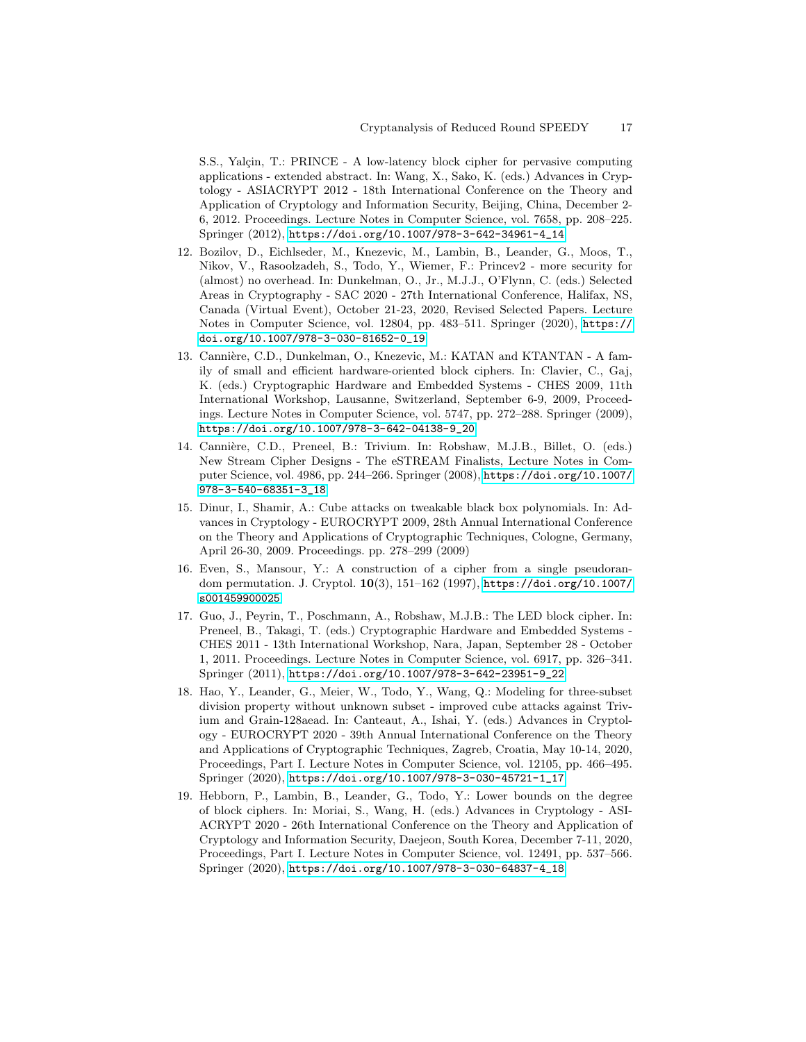S.S., Yalçin, T.: PRINCE - A low-latency block cipher for pervasive computing applications - extended abstract. In: Wang, X., Sako, K. (eds.) Advances in Cryptology - ASIACRYPT 2012 - 18th International Conference on the Theory and Application of Cryptology and Information Security, Beijing, China, December 2- 6, 2012. Proceedings. Lecture Notes in Computer Science, vol. 7658, pp. 208–225. Springer (2012), [https://doi.org/10.1007/978-3-642-34961-4\\_14](https://doi.org/10.1007/978-3-642-34961-4_14)

- <span id="page-16-3"></span>12. Bozilov, D., Eichlseder, M., Knezevic, M., Lambin, B., Leander, G., Moos, T., Nikov, V., Rasoolzadeh, S., Todo, Y., Wiemer, F.: Princev2 - more security for (almost) no overhead. In: Dunkelman, O., Jr., M.J.J., O'Flynn, C. (eds.) Selected Areas in Cryptography - SAC 2020 - 27th International Conference, Halifax, NS, Canada (Virtual Event), October 21-23, 2020, Revised Selected Papers. Lecture Notes in Computer Science, vol. 12804, pp. 483–511. Springer (2020), [https://](https://doi.org/10.1007/978-3-030-81652-0_19) [doi.org/10.1007/978-3-030-81652-0\\_19](https://doi.org/10.1007/978-3-030-81652-0_19)
- <span id="page-16-0"></span>13. Cannière, C.D., Dunkelman, O., Knezevic, M.: KATAN and KTANTAN - A family of small and efficient hardware-oriented block ciphers. In: Clavier, C., Gaj, K. (eds.) Cryptographic Hardware and Embedded Systems - CHES 2009, 11th International Workshop, Lausanne, Switzerland, September 6-9, 2009, Proceedings. Lecture Notes in Computer Science, vol. 5747, pp. 272–288. Springer (2009), [https://doi.org/10.1007/978-3-642-04138-9\\_20](https://doi.org/10.1007/978-3-642-04138-9_20)
- <span id="page-16-2"></span>14. Cannière, C.D., Preneel, B.: Trivium. In: Robshaw, M.J.B., Billet, O. (eds.) New Stream Cipher Designs - The eSTREAM Finalists, Lecture Notes in Computer Science, vol. 4986, pp. 244–266. Springer (2008), [https://doi.org/10.1007/](https://doi.org/10.1007/978-3-540-68351-3_18) [978-3-540-68351-3\\_18](https://doi.org/10.1007/978-3-540-68351-3_18)
- <span id="page-16-5"></span>15. Dinur, I., Shamir, A.: Cube attacks on tweakable black box polynomials. In: Advances in Cryptology - EUROCRYPT 2009, 28th Annual International Conference on the Theory and Applications of Cryptographic Techniques, Cologne, Germany, April 26-30, 2009. Proceedings. pp. 278–299 (2009)
- <span id="page-16-4"></span>16. Even, S., Mansour, Y.: A construction of a cipher from a single pseudorandom permutation. J. Cryptol. 10(3), 151–162 (1997), [https://doi.org/10.1007/](https://doi.org/10.1007/s001459900025) [s001459900025](https://doi.org/10.1007/s001459900025)
- <span id="page-16-1"></span>17. Guo, J., Peyrin, T., Poschmann, A., Robshaw, M.J.B.: The LED block cipher. In: Preneel, B., Takagi, T. (eds.) Cryptographic Hardware and Embedded Systems - CHES 2011 - 13th International Workshop, Nara, Japan, September 28 - October 1, 2011. Proceedings. Lecture Notes in Computer Science, vol. 6917, pp. 326–341. Springer (2011), [https://doi.org/10.1007/978-3-642-23951-9\\_22](https://doi.org/10.1007/978-3-642-23951-9_22)
- <span id="page-16-6"></span>18. Hao, Y., Leander, G., Meier, W., Todo, Y., Wang, Q.: Modeling for three-subset division property without unknown subset - improved cube attacks against Trivium and Grain-128aead. In: Canteaut, A., Ishai, Y. (eds.) Advances in Cryptology - EUROCRYPT 2020 - 39th Annual International Conference on the Theory and Applications of Cryptographic Techniques, Zagreb, Croatia, May 10-14, 2020, Proceedings, Part I. Lecture Notes in Computer Science, vol. 12105, pp. 466–495. Springer (2020), [https://doi.org/10.1007/978-3-030-45721-1\\_17](https://doi.org/10.1007/978-3-030-45721-1_17)
- <span id="page-16-7"></span>19. Hebborn, P., Lambin, B., Leander, G., Todo, Y.: Lower bounds on the degree of block ciphers. In: Moriai, S., Wang, H. (eds.) Advances in Cryptology - ASI-ACRYPT 2020 - 26th International Conference on the Theory and Application of Cryptology and Information Security, Daejeon, South Korea, December 7-11, 2020, Proceedings, Part I. Lecture Notes in Computer Science, vol. 12491, pp. 537–566. Springer (2020), [https://doi.org/10.1007/978-3-030-64837-4\\_18](https://doi.org/10.1007/978-3-030-64837-4_18)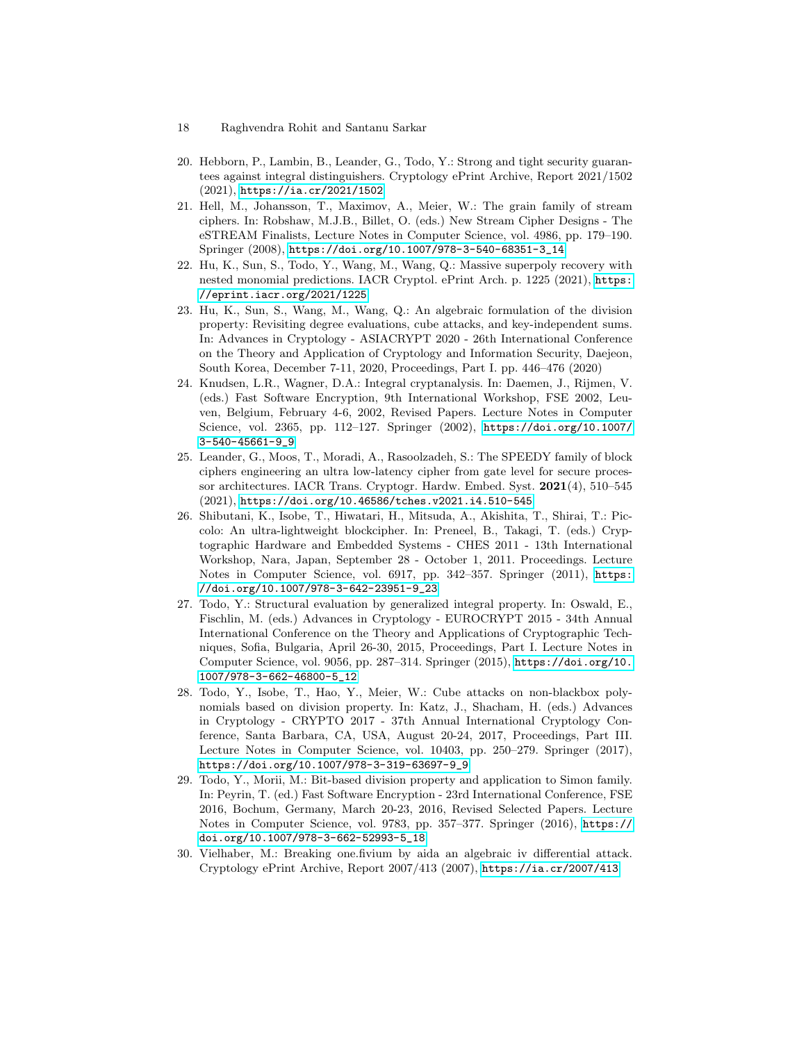- 18 Raghvendra Rohit and Santanu Sarkar
- <span id="page-17-9"></span>20. Hebborn, P., Lambin, B., Leander, G., Todo, Y.: Strong and tight security guarantees against integral distinguishers. Cryptology ePrint Archive, Report 2021/1502 (2021), <https://ia.cr/2021/1502>
- <span id="page-17-1"></span>21. Hell, M., Johansson, T., Maximov, A., Meier, W.: The grain family of stream ciphers. In: Robshaw, M.J.B., Billet, O. (eds.) New Stream Cipher Designs - The eSTREAM Finalists, Lecture Notes in Computer Science, vol. 4986, pp. 179–190. Springer (2008), [https://doi.org/10.1007/978-3-540-68351-3\\_14](https://doi.org/10.1007/978-3-540-68351-3_14)
- <span id="page-17-8"></span>22. Hu, K., Sun, S., Todo, Y., Wang, M., Wang, Q.: Massive superpoly recovery with nested monomial predictions. IACR Cryptol. ePrint Arch. p. 1225 (2021), [https:](https://eprint.iacr.org/2021/1225) [//eprint.iacr.org/2021/1225](https://eprint.iacr.org/2021/1225)
- <span id="page-17-7"></span>23. Hu, K., Sun, S., Wang, M., Wang, Q.: An algebraic formulation of the division property: Revisiting degree evaluations, cube attacks, and key-independent sums. In: Advances in Cryptology - ASIACRYPT 2020 - 26th International Conference on the Theory and Application of Cryptology and Information Security, Daejeon, South Korea, December 7-11, 2020, Proceedings, Part I. pp. 446–476 (2020)
- <span id="page-17-10"></span>24. Knudsen, L.R., Wagner, D.A.: Integral cryptanalysis. In: Daemen, J., Rijmen, V. (eds.) Fast Software Encryption, 9th International Workshop, FSE 2002, Leuven, Belgium, February 4-6, 2002, Revised Papers. Lecture Notes in Computer Science, vol. 2365, pp. 112–127. Springer (2002), [https://doi.org/10.1007/](https://doi.org/10.1007/3-540-45661-9_9) [3-540-45661-9\\_9](https://doi.org/10.1007/3-540-45661-9_9)
- <span id="page-17-2"></span>25. Leander, G., Moos, T., Moradi, A., Rasoolzadeh, S.: The SPEEDY family of block ciphers engineering an ultra low-latency cipher from gate level for secure processor architectures. IACR Trans. Cryptogr. Hardw. Embed. Syst. 2021(4), 510–545 (2021), <https://doi.org/10.46586/tches.v2021.i4.510-545>
- <span id="page-17-0"></span>26. Shibutani, K., Isobe, T., Hiwatari, H., Mitsuda, A., Akishita, T., Shirai, T.: Piccolo: An ultra-lightweight blockcipher. In: Preneel, B., Takagi, T. (eds.) Cryptographic Hardware and Embedded Systems - CHES 2011 - 13th International Workshop, Nara, Japan, September 28 - October 1, 2011. Proceedings. Lecture Notes in Computer Science, vol. 6917, pp. 342–357. Springer (2011), [https:](https://doi.org/10.1007/978-3-642-23951-9_23) [//doi.org/10.1007/978-3-642-23951-9\\_23](https://doi.org/10.1007/978-3-642-23951-9_23)
- <span id="page-17-4"></span>27. Todo, Y.: Structural evaluation by generalized integral property. In: Oswald, E., Fischlin, M. (eds.) Advances in Cryptology - EUROCRYPT 2015 - 34th Annual International Conference on the Theory and Applications of Cryptographic Techniques, Sofia, Bulgaria, April 26-30, 2015, Proceedings, Part I. Lecture Notes in Computer Science, vol. 9056, pp. 287–314. Springer (2015), [https://doi.org/10.](https://doi.org/10.1007/978-3-662-46800-5_12) [1007/978-3-662-46800-5\\_12](https://doi.org/10.1007/978-3-662-46800-5_12)
- <span id="page-17-6"></span>28. Todo, Y., Isobe, T., Hao, Y., Meier, W.: Cube attacks on non-blackbox polynomials based on division property. In: Katz, J., Shacham, H. (eds.) Advances in Cryptology - CRYPTO 2017 - 37th Annual International Cryptology Conference, Santa Barbara, CA, USA, August 20-24, 2017, Proceedings, Part III. Lecture Notes in Computer Science, vol. 10403, pp. 250–279. Springer (2017), [https://doi.org/10.1007/978-3-319-63697-9\\_9](https://doi.org/10.1007/978-3-319-63697-9_9)
- <span id="page-17-5"></span>29. Todo, Y., Morii, M.: Bit-based division property and application to Simon family. In: Peyrin, T. (ed.) Fast Software Encryption - 23rd International Conference, FSE 2016, Bochum, Germany, March 20-23, 2016, Revised Selected Papers. Lecture Notes in Computer Science, vol. 9783, pp. 357–377. Springer (2016), [https://](https://doi.org/10.1007/978-3-662-52993-5_18) [doi.org/10.1007/978-3-662-52993-5\\_18](https://doi.org/10.1007/978-3-662-52993-5_18)
- <span id="page-17-3"></span>30. Vielhaber, M.: Breaking one.fivium by aida an algebraic iv differential attack. Cryptology ePrint Archive, Report 2007/413 (2007), <https://ia.cr/2007/413>